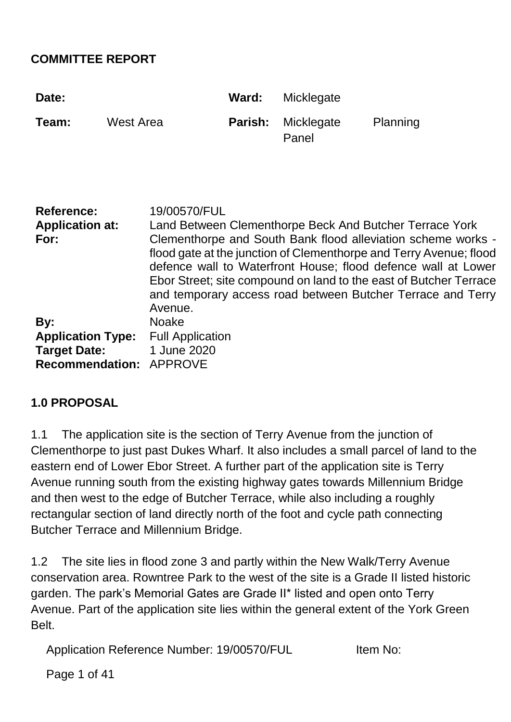#### **COMMITTEE REPORT**

| Date:                                                                                    |                  |                                                                                                                                                                                                                                                                                                                                                                                                                               | Ward:   | Micklegate          |          |
|------------------------------------------------------------------------------------------|------------------|-------------------------------------------------------------------------------------------------------------------------------------------------------------------------------------------------------------------------------------------------------------------------------------------------------------------------------------------------------------------------------------------------------------------------------|---------|---------------------|----------|
| Team:                                                                                    | <b>West Area</b> |                                                                                                                                                                                                                                                                                                                                                                                                                               | Parish: | Micklegate<br>Panel | Planning |
| <b>Reference:</b><br><b>Application at:</b><br>For:                                      |                  | 19/00570/FUL<br>Land Between Clementhorpe Beck And Butcher Terrace York<br>Clementhorpe and South Bank flood alleviation scheme works -<br>flood gate at the junction of Clementhorpe and Terry Avenue; flood<br>defence wall to Waterfront House; flood defence wall at Lower<br>Ebor Street; site compound on land to the east of Butcher Terrace<br>and temporary access road between Butcher Terrace and Terry<br>Avenue. |         |                     |          |
| By:<br><b>Application Type:</b><br><b>Target Date:</b><br><b>Recommendation: APPROVE</b> |                  | <b>Noake</b><br><b>Full Application</b><br>1 June 2020                                                                                                                                                                                                                                                                                                                                                                        |         |                     |          |

#### **1.0 PROPOSAL**

1.1 The application site is the section of Terry Avenue from the junction of Clementhorpe to just past Dukes Wharf. It also includes a small parcel of land to the eastern end of Lower Ebor Street. A further part of the application site is Terry Avenue running south from the existing highway gates towards Millennium Bridge and then west to the edge of Butcher Terrace, while also including a roughly rectangular section of land directly north of the foot and cycle path connecting Butcher Terrace and Millennium Bridge.

1.2 The site lies in flood zone 3 and partly within the New Walk/Terry Avenue conservation area. Rowntree Park to the west of the site is a Grade II listed historic garden. The park's Memorial Gates are Grade II\* listed and open onto Terry Avenue. Part of the application site lies within the general extent of the York Green Belt.

Application Reference Number: 19/00570/FUL Item No:

Page 1 of 41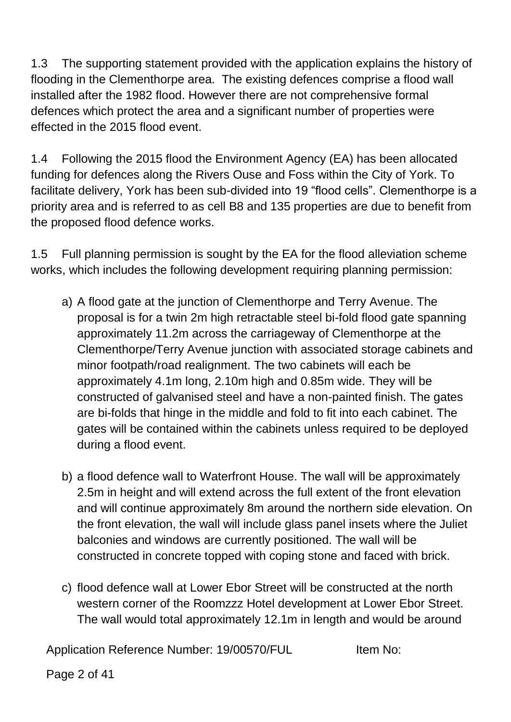1.3 The supporting statement provided with the application explains the history of flooding in the Clementhorpe area. The existing defences comprise a flood wall installed after the 1982 flood. However there are not comprehensive formal defences which protect the area and a significant number of properties were effected in the 2015 flood event.

1.4 Following the 2015 flood the Environment Agency (EA) has been allocated funding for defences along the Rivers Ouse and Foss within the City of York. To facilitate delivery, York has been sub-divided into 19 "flood cells". Clementhorpe is a priority area and is referred to as cell B8 and 135 properties are due to benefit from the proposed flood defence works.

1.5 Full planning permission is sought by the EA for the flood alleviation scheme works, which includes the following development requiring planning permission:

- a) A flood gate at the junction of Clementhorpe and Terry Avenue. The proposal is for a twin 2m high retractable steel bi-fold flood gate spanning approximately 11.2m across the carriageway of Clementhorpe at the Clementhorpe/Terry Avenue junction with associated storage cabinets and minor footpath/road realignment. The two cabinets will each be approximately 4.1m long, 2.10m high and 0.85m wide. They will be constructed of galvanised steel and have a non-painted finish. The gates are bi-folds that hinge in the middle and fold to fit into each cabinet. The gates will be contained within the cabinets unless required to be deployed during a flood event.
- b) a flood defence wall to Waterfront House. The wall will be approximately 2.5m in height and will extend across the full extent of the front elevation and will continue approximately 8m around the northern side elevation. On the front elevation, the wall will include glass panel insets where the Juliet balconies and windows are currently positioned. The wall will be constructed in concrete topped with coping stone and faced with brick.
- c) flood defence wall at Lower Ebor Street will be constructed at the north western corner of the Roomzzz Hotel development at Lower Ebor Street. The wall would total approximately 12.1m in length and would be around

Application Reference Number: 19/00570/FUL Item No:

Page 2 of 41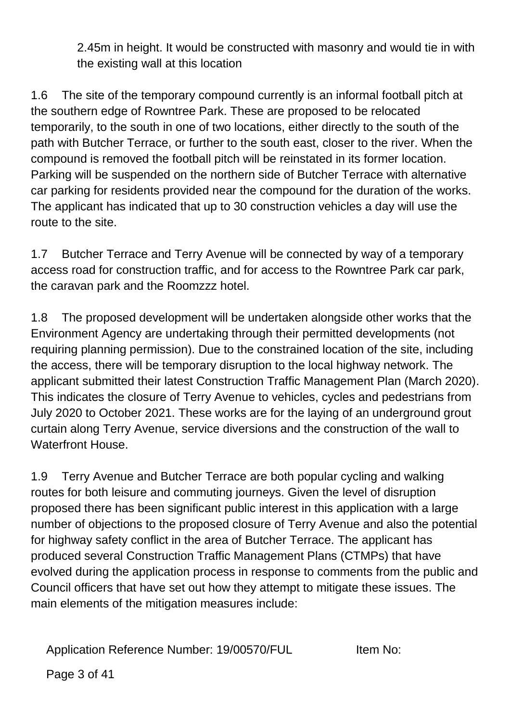2.45m in height. It would be constructed with masonry and would tie in with the existing wall at this location

1.6 The site of the temporary compound currently is an informal football pitch at the southern edge of Rowntree Park. These are proposed to be relocated temporarily, to the south in one of two locations, either directly to the south of the path with Butcher Terrace, or further to the south east, closer to the river. When the compound is removed the football pitch will be reinstated in its former location. Parking will be suspended on the northern side of Butcher Terrace with alternative car parking for residents provided near the compound for the duration of the works. The applicant has indicated that up to 30 construction vehicles a day will use the route to the site.

1.7 Butcher Terrace and Terry Avenue will be connected by way of a temporary access road for construction traffic, and for access to the Rowntree Park car park, the caravan park and the Roomzzz hotel.

1.8 The proposed development will be undertaken alongside other works that the Environment Agency are undertaking through their permitted developments (not requiring planning permission). Due to the constrained location of the site, including the access, there will be temporary disruption to the local highway network. The applicant submitted their latest Construction Traffic Management Plan (March 2020). This indicates the closure of Terry Avenue to vehicles, cycles and pedestrians from July 2020 to October 2021. These works are for the laying of an underground grout curtain along Terry Avenue, service diversions and the construction of the wall to Waterfront House.

1.9 Terry Avenue and Butcher Terrace are both popular cycling and walking routes for both leisure and commuting journeys. Given the level of disruption proposed there has been significant public interest in this application with a large number of objections to the proposed closure of Terry Avenue and also the potential for highway safety conflict in the area of Butcher Terrace. The applicant has produced several Construction Traffic Management Plans (CTMPs) that have evolved during the application process in response to comments from the public and Council officers that have set out how they attempt to mitigate these issues. The main elements of the mitigation measures include:

Application Reference Number: 19/00570/FUL Item No: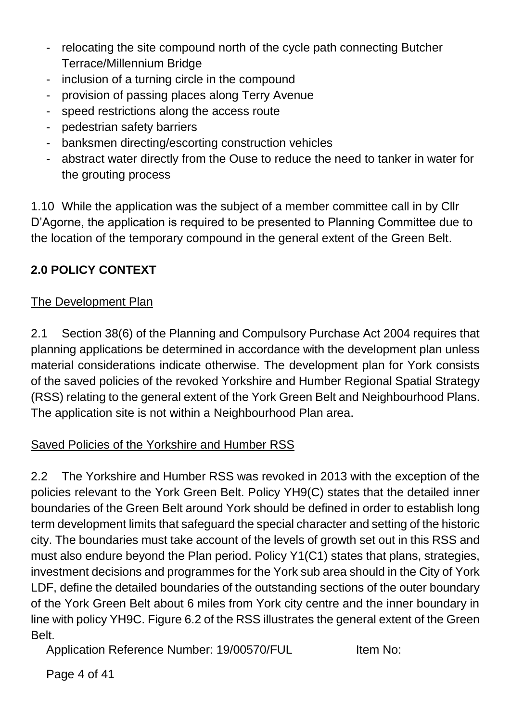- relocating the site compound north of the cycle path connecting Butcher Terrace/Millennium Bridge
- inclusion of a turning circle in the compound
- provision of passing places along Terry Avenue
- speed restrictions along the access route
- pedestrian safety barriers
- banksmen directing/escorting construction vehicles
- abstract water directly from the Ouse to reduce the need to tanker in water for the grouting process

1.10 While the application was the subject of a member committee call in by Cllr D'Agorne, the application is required to be presented to Planning Committee due to the location of the temporary compound in the general extent of the Green Belt.

# **2.0 POLICY CONTEXT**

# The Development Plan

2.1 Section 38(6) of the Planning and Compulsory Purchase Act 2004 requires that planning applications be determined in accordance with the development plan unless material considerations indicate otherwise. The development plan for York consists of the saved policies of the revoked Yorkshire and Humber Regional Spatial Strategy (RSS) relating to the general extent of the York Green Belt and Neighbourhood Plans. The application site is not within a Neighbourhood Plan area.

## Saved Policies of the Yorkshire and Humber RSS

2.2 The Yorkshire and Humber RSS was revoked in 2013 with the exception of the policies relevant to the York Green Belt. Policy YH9(C) states that the detailed inner boundaries of the Green Belt around York should be defined in order to establish long term development limits that safeguard the special character and setting of the historic city. The boundaries must take account of the levels of growth set out in this RSS and must also endure beyond the Plan period. Policy Y1(C1) states that plans, strategies, investment decisions and programmes for the York sub area should in the City of York LDF, define the detailed boundaries of the outstanding sections of the outer boundary of the York Green Belt about 6 miles from York city centre and the inner boundary in line with policy YH9C. Figure 6.2 of the RSS illustrates the general extent of the Green Belt.

Application Reference Number: 19/00570/FUL Item No:

Page 4 of 41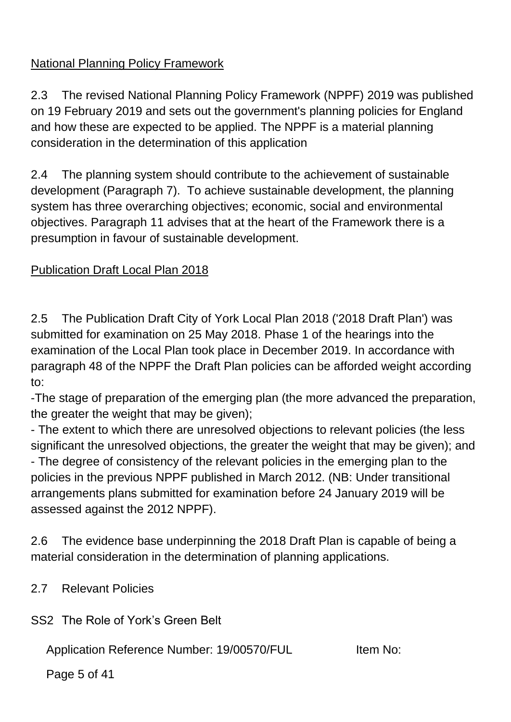# National Planning Policy Framework

2.3 The revised National Planning Policy Framework (NPPF) 2019 was published on 19 February 2019 and sets out the government's planning policies for England and how these are expected to be applied. The NPPF is a material planning consideration in the determination of this application

2.4 The planning system should contribute to the achievement of sustainable development (Paragraph 7). To achieve sustainable development, the planning system has three overarching objectives; economic, social and environmental objectives. Paragraph 11 advises that at the heart of the Framework there is a presumption in favour of sustainable development.

## Publication Draft Local Plan 2018

2.5 The Publication Draft City of York Local Plan 2018 ('2018 Draft Plan') was submitted for examination on 25 May 2018. Phase 1 of the hearings into the examination of the Local Plan took place in December 2019. In accordance with paragraph 48 of the NPPF the Draft Plan policies can be afforded weight according to:

-The stage of preparation of the emerging plan (the more advanced the preparation, the greater the weight that may be given);

- The extent to which there are unresolved objections to relevant policies (the less significant the unresolved objections, the greater the weight that may be given); and - The degree of consistency of the relevant policies in the emerging plan to the policies in the previous NPPF published in March 2012. (NB: Under transitional arrangements plans submitted for examination before 24 January 2019 will be assessed against the 2012 NPPF).

2.6 The evidence base underpinning the 2018 Draft Plan is capable of being a material consideration in the determination of planning applications.

2.7 Relevant Policies

SS2 The Role of York's Green Belt

Application Reference Number: 19/00570/FUL Item No:

Page 5 of 41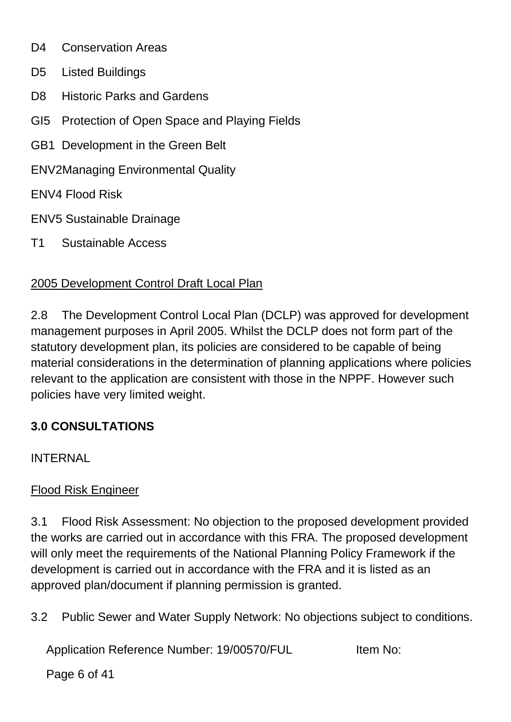- D<sub>4</sub> Conservation Areas
- D5 Listed Buildings
- D8 Historic Parks and Gardens
- GI5 Protection of Open Space and Playing Fields
- GB1 Development in the Green Belt
- ENV2Managing Environmental Quality
- ENV4 Flood Risk
- ENV5 Sustainable Drainage
- T1 Sustainable Access

# 2005 Development Control Draft Local Plan

2.8 The Development Control Local Plan (DCLP) was approved for development management purposes in April 2005. Whilst the DCLP does not form part of the statutory development plan, its policies are considered to be capable of being material considerations in the determination of planning applications where policies relevant to the application are consistent with those in the NPPF. However such policies have very limited weight.

# **3.0 CONSULTATIONS**

**INTERNAL** 

# Flood Risk Engineer

3.1 Flood Risk Assessment: No objection to the proposed development provided the works are carried out in accordance with this FRA. The proposed development will only meet the requirements of the National Planning Policy Framework if the development is carried out in accordance with the FRA and it is listed as an approved plan/document if planning permission is granted.

3.2 Public Sewer and Water Supply Network: No objections subject to conditions.

Application Reference Number: 19/00570/FUL Item No:

Page 6 of 41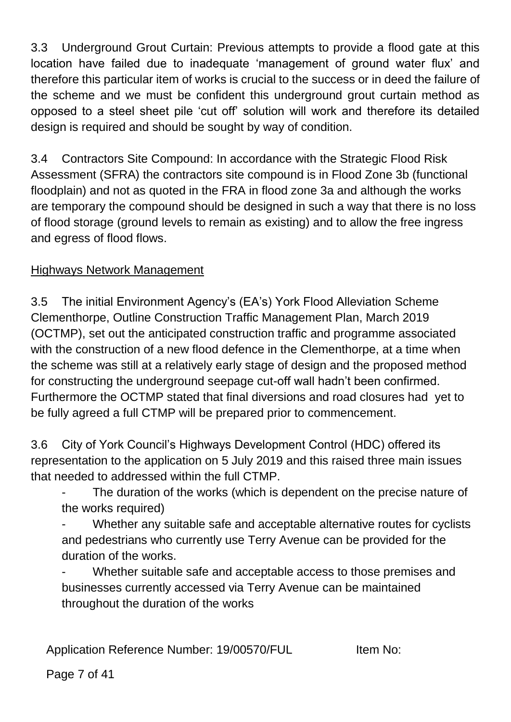3.3 Underground Grout Curtain: Previous attempts to provide a flood gate at this location have failed due to inadequate 'management of ground water flux' and therefore this particular item of works is crucial to the success or in deed the failure of the scheme and we must be confident this underground grout curtain method as opposed to a steel sheet pile 'cut off' solution will work and therefore its detailed design is required and should be sought by way of condition.

3.4 Contractors Site Compound: In accordance with the Strategic Flood Risk Assessment (SFRA) the contractors site compound is in Flood Zone 3b (functional floodplain) and not as quoted in the FRA in flood zone 3a and although the works are temporary the compound should be designed in such a way that there is no loss of flood storage (ground levels to remain as existing) and to allow the free ingress and egress of flood flows.

## Highways Network Management

3.5 The initial Environment Agency's (EA's) York Flood Alleviation Scheme Clementhorpe, Outline Construction Traffic Management Plan, March 2019 (OCTMP), set out the anticipated construction traffic and programme associated with the construction of a new flood defence in the Clementhorpe, at a time when the scheme was still at a relatively early stage of design and the proposed method for constructing the underground seepage cut-off wall hadn't been confirmed. Furthermore the OCTMP stated that final diversions and road closures had yet to be fully agreed a full CTMP will be prepared prior to commencement.

3.6 City of York Council's Highways Development Control (HDC) offered its representation to the application on 5 July 2019 and this raised three main issues that needed to addressed within the full CTMP.

The duration of the works (which is dependent on the precise nature of the works required)

Whether any suitable safe and acceptable alternative routes for cyclists and pedestrians who currently use Terry Avenue can be provided for the duration of the works.

Whether suitable safe and acceptable access to those premises and businesses currently accessed via Terry Avenue can be maintained throughout the duration of the works

Application Reference Number: 19/00570/FUL Item No:

Page 7 of 41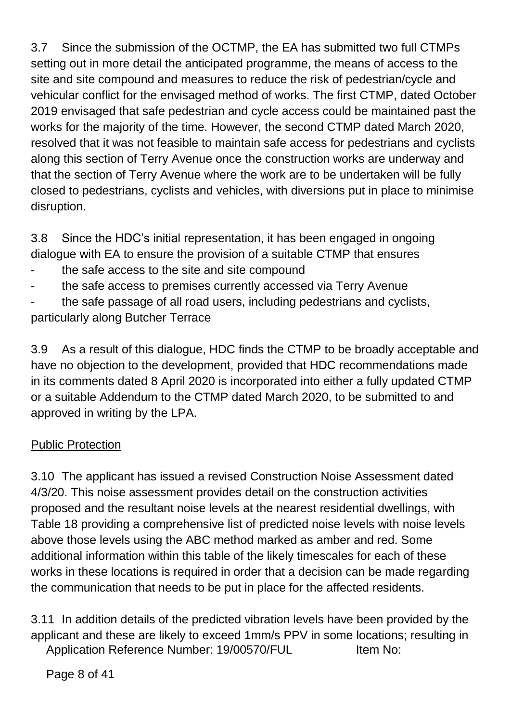3.7 Since the submission of the OCTMP, the EA has submitted two full CTMPs setting out in more detail the anticipated programme, the means of access to the site and site compound and measures to reduce the risk of pedestrian/cycle and vehicular conflict for the envisaged method of works. The first CTMP, dated October 2019 envisaged that safe pedestrian and cycle access could be maintained past the works for the majority of the time. However, the second CTMP dated March 2020, resolved that it was not feasible to maintain safe access for pedestrians and cyclists along this section of Terry Avenue once the construction works are underway and that the section of Terry Avenue where the work are to be undertaken will be fully closed to pedestrians, cyclists and vehicles, with diversions put in place to minimise disruption.

3.8 Since the HDC's initial representation, it has been engaged in ongoing dialogue with EA to ensure the provision of a suitable CTMP that ensures

- the safe access to the site and site compound
- the safe access to premises currently accessed via Terry Avenue
- the safe passage of all road users, including pedestrians and cyclists, particularly along Butcher Terrace

3.9 As a result of this dialogue, HDC finds the CTMP to be broadly acceptable and have no objection to the development, provided that HDC recommendations made in its comments dated 8 April 2020 is incorporated into either a fully updated CTMP or a suitable Addendum to the CTMP dated March 2020, to be submitted to and approved in writing by the LPA.

## Public Protection

3.10 The applicant has issued a revised Construction Noise Assessment dated 4/3/20. This noise assessment provides detail on the construction activities proposed and the resultant noise levels at the nearest residential dwellings, with Table 18 providing a comprehensive list of predicted noise levels with noise levels above those levels using the ABC method marked as amber and red. Some additional information within this table of the likely timescales for each of these works in these locations is required in order that a decision can be made regarding the communication that needs to be put in place for the affected residents.

Application Reference Number: 19/00570/FUL Item No: 3.11 In addition details of the predicted vibration levels have been provided by the applicant and these are likely to exceed 1mm/s PPV in some locations; resulting in

Page 8 of 41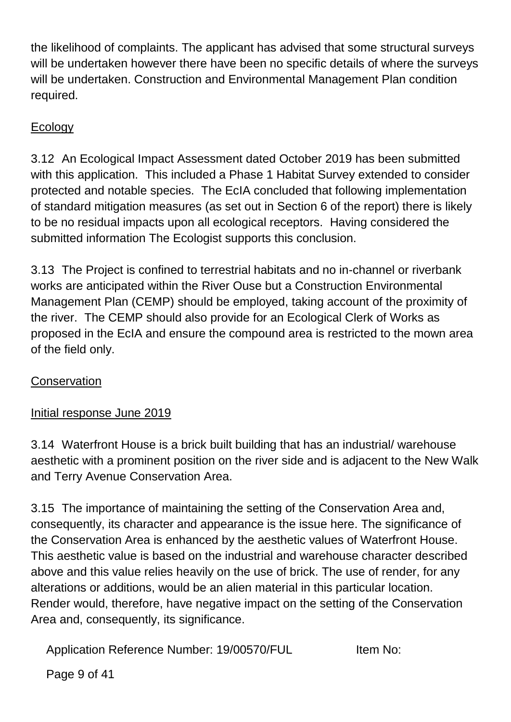the likelihood of complaints. The applicant has advised that some structural surveys will be undertaken however there have been no specific details of where the surveys will be undertaken. Construction and Environmental Management Plan condition required.

# Ecology

3.12 An Ecological Impact Assessment dated October 2019 has been submitted with this application. This included a Phase 1 Habitat Survey extended to consider protected and notable species. The EcIA concluded that following implementation of standard mitigation measures (as set out in Section 6 of the report) there is likely to be no residual impacts upon all ecological receptors. Having considered the submitted information The Ecologist supports this conclusion.

3.13 The Project is confined to terrestrial habitats and no in-channel or riverbank works are anticipated within the River Ouse but a Construction Environmental Management Plan (CEMP) should be employed, taking account of the proximity of the river. The CEMP should also provide for an Ecological Clerk of Works as proposed in the EcIA and ensure the compound area is restricted to the mown area of the field only.

## **Conservation**

# Initial response June 2019

3.14 Waterfront House is a brick built building that has an industrial/ warehouse aesthetic with a prominent position on the river side and is adjacent to the New Walk and Terry Avenue Conservation Area.

3.15 The importance of maintaining the setting of the Conservation Area and, consequently, its character and appearance is the issue here. The significance of the Conservation Area is enhanced by the aesthetic values of Waterfront House. This aesthetic value is based on the industrial and warehouse character described above and this value relies heavily on the use of brick. The use of render, for any alterations or additions, would be an alien material in this particular location. Render would, therefore, have negative impact on the setting of the Conservation Area and, consequently, its significance.

Application Reference Number: 19/00570/FUL Item No:

Page 9 of 41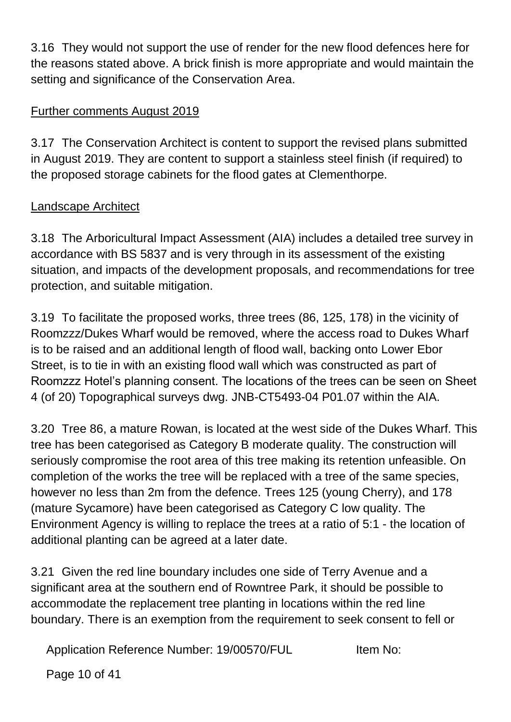3.16 They would not support the use of render for the new flood defences here for the reasons stated above. A brick finish is more appropriate and would maintain the setting and significance of the Conservation Area.

#### Further comments August 2019

3.17 The Conservation Architect is content to support the revised plans submitted in August 2019. They are content to support a stainless steel finish (if required) to the proposed storage cabinets for the flood gates at Clementhorpe.

## Landscape Architect

3.18 The Arboricultural Impact Assessment (AIA) includes a detailed tree survey in accordance with BS 5837 and is very through in its assessment of the existing situation, and impacts of the development proposals, and recommendations for tree protection, and suitable mitigation.

3.19 To facilitate the proposed works, three trees (86, 125, 178) in the vicinity of Roomzzz/Dukes Wharf would be removed, where the access road to Dukes Wharf is to be raised and an additional length of flood wall, backing onto Lower Ebor Street, is to tie in with an existing flood wall which was constructed as part of Roomzzz Hotel's planning consent. The locations of the trees can be seen on Sheet 4 (of 20) Topographical surveys dwg. JNB-CT5493-04 P01.07 within the AIA.

3.20 Tree 86, a mature Rowan, is located at the west side of the Dukes Wharf. This tree has been categorised as Category B moderate quality. The construction will seriously compromise the root area of this tree making its retention unfeasible. On completion of the works the tree will be replaced with a tree of the same species, however no less than 2m from the defence. Trees 125 (young Cherry), and 178 (mature Sycamore) have been categorised as Category C low quality. The Environment Agency is willing to replace the trees at a ratio of 5:1 - the location of additional planting can be agreed at a later date.

3.21 Given the red line boundary includes one side of Terry Avenue and a significant area at the southern end of Rowntree Park, it should be possible to accommodate the replacement tree planting in locations within the red line boundary. There is an exemption from the requirement to seek consent to fell or

Application Reference Number: 19/00570/FUL Item No:

Page 10 of 41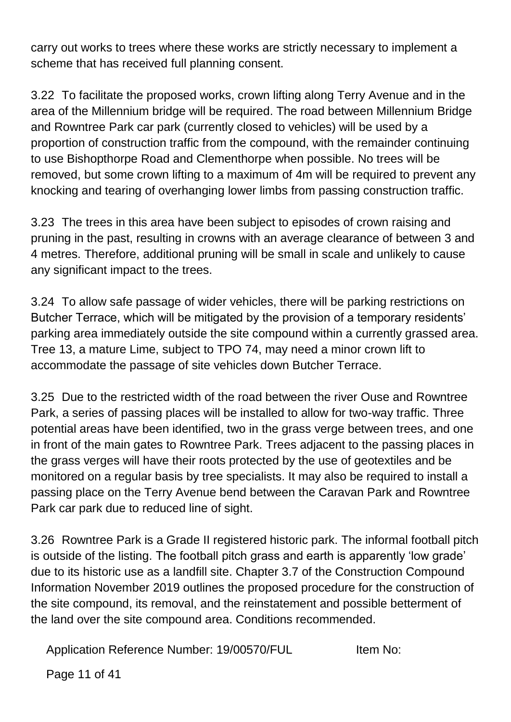carry out works to trees where these works are strictly necessary to implement a scheme that has received full planning consent.

3.22 To facilitate the proposed works, crown lifting along Terry Avenue and in the area of the Millennium bridge will be required. The road between Millennium Bridge and Rowntree Park car park (currently closed to vehicles) will be used by a proportion of construction traffic from the compound, with the remainder continuing to use Bishopthorpe Road and Clementhorpe when possible. No trees will be removed, but some crown lifting to a maximum of 4m will be required to prevent any knocking and tearing of overhanging lower limbs from passing construction traffic.

3.23 The trees in this area have been subject to episodes of crown raising and pruning in the past, resulting in crowns with an average clearance of between 3 and 4 metres. Therefore, additional pruning will be small in scale and unlikely to cause any significant impact to the trees.

3.24 To allow safe passage of wider vehicles, there will be parking restrictions on Butcher Terrace, which will be mitigated by the provision of a temporary residents' parking area immediately outside the site compound within a currently grassed area. Tree 13, a mature Lime, subject to TPO 74, may need a minor crown lift to accommodate the passage of site vehicles down Butcher Terrace.

3.25 Due to the restricted width of the road between the river Ouse and Rowntree Park, a series of passing places will be installed to allow for two-way traffic. Three potential areas have been identified, two in the grass verge between trees, and one in front of the main gates to Rowntree Park. Trees adjacent to the passing places in the grass verges will have their roots protected by the use of geotextiles and be monitored on a regular basis by tree specialists. It may also be required to install a passing place on the Terry Avenue bend between the Caravan Park and Rowntree Park car park due to reduced line of sight.

3.26 Rowntree Park is a Grade II registered historic park. The informal football pitch is outside of the listing. The football pitch grass and earth is apparently 'low grade' due to its historic use as a landfill site. Chapter 3.7 of the Construction Compound Information November 2019 outlines the proposed procedure for the construction of the site compound, its removal, and the reinstatement and possible betterment of the land over the site compound area. Conditions recommended.

Application Reference Number: 19/00570/FUL Item No:

Page 11 of 41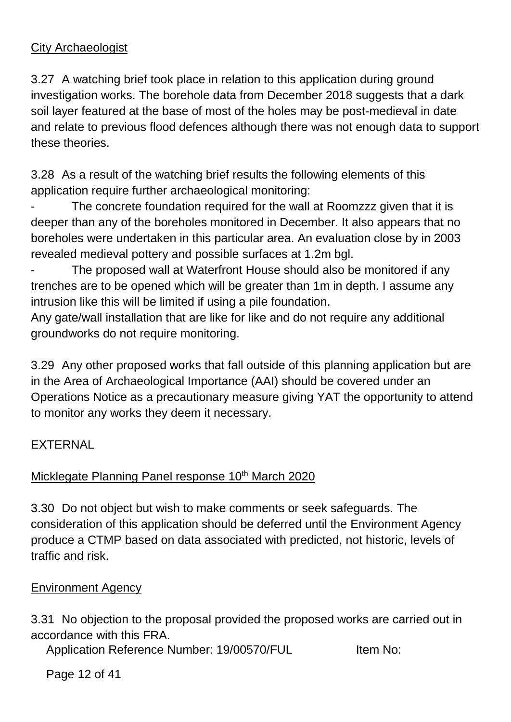## City Archaeologist

3.27 A watching brief took place in relation to this application during ground investigation works. The borehole data from December 2018 suggests that a dark soil layer featured at the base of most of the holes may be post-medieval in date and relate to previous flood defences although there was not enough data to support these theories.

3.28 As a result of the watching brief results the following elements of this application require further archaeological monitoring:

The concrete foundation required for the wall at Roomzzz given that it is deeper than any of the boreholes monitored in December. It also appears that no boreholes were undertaken in this particular area. An evaluation close by in 2003 revealed medieval pottery and possible surfaces at 1.2m bgl.

The proposed wall at Waterfront House should also be monitored if any trenches are to be opened which will be greater than 1m in depth. I assume any intrusion like this will be limited if using a pile foundation.

Any gate/wall installation that are like for like and do not require any additional groundworks do not require monitoring.

3.29 Any other proposed works that fall outside of this planning application but are in the Area of Archaeological Importance (AAI) should be covered under an Operations Notice as a precautionary measure giving YAT the opportunity to attend to monitor any works they deem it necessary.

#### EXTERNAL

## Micklegate Planning Panel response 10<sup>th</sup> March 2020

3.30 Do not object but wish to make comments or seek safeguards. The consideration of this application should be deferred until the Environment Agency produce a CTMP based on data associated with predicted, not historic, levels of traffic and risk.

#### Environment Agency

3.31 No objection to the proposal provided the proposed works are carried out in accordance with this FRA.

Application Reference Number: 19/00570/FUL Item No:

Page 12 of 41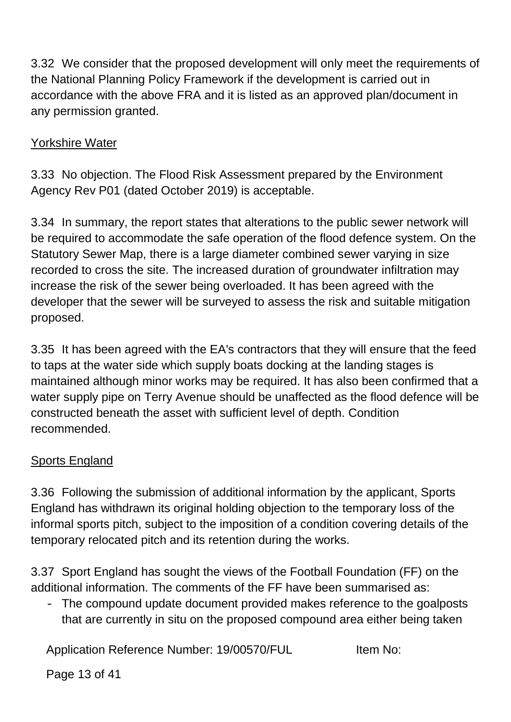3.32 We consider that the proposed development will only meet the requirements of the National Planning Policy Framework if the development is carried out in accordance with the above FRA and it is listed as an approved plan/document in any permission granted.

#### Yorkshire Water

3.33 No objection. The Flood Risk Assessment prepared by the Environment Agency Rev P01 (dated October 2019) is acceptable.

3.34 In summary, the report states that alterations to the public sewer network will be required to accommodate the safe operation of the flood defence system. On the Statutory Sewer Map, there is a large diameter combined sewer varying in size recorded to cross the site. The increased duration of groundwater infiltration may increase the risk of the sewer being overloaded. It has been agreed with the developer that the sewer will be surveyed to assess the risk and suitable mitigation proposed.

3.35 It has been agreed with the EA's contractors that they will ensure that the feed to taps at the water side which supply boats docking at the landing stages is maintained although minor works may be required. It has also been confirmed that a water supply pipe on Terry Avenue should be unaffected as the flood defence will be constructed beneath the asset with sufficient level of depth. Condition recommended.

#### Sports England

3.36 Following the submission of additional information by the applicant, Sports England has withdrawn its original holding objection to the temporary loss of the informal sports pitch, subject to the imposition of a condition covering details of the temporary relocated pitch and its retention during the works.

3.37 Sport England has sought the views of the Football Foundation (FF) on the additional information. The comments of the FF have been summarised as:

- The compound update document provided makes reference to the goalposts that are currently in situ on the proposed compound area either being taken

Application Reference Number: 19/00570/FUL Item No:

Page 13 of 41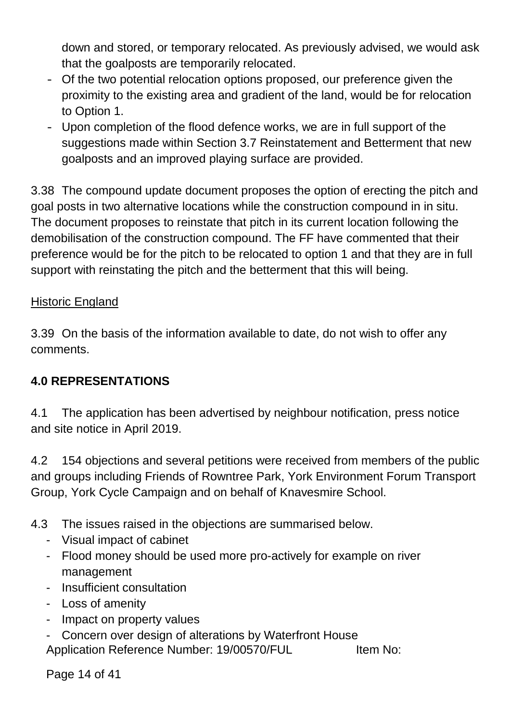down and stored, or temporary relocated. As previously advised, we would ask that the goalposts are temporarily relocated.

- Of the two potential relocation options proposed, our preference given the proximity to the existing area and gradient of the land, would be for relocation to Option 1.
- Upon completion of the flood defence works, we are in full support of the suggestions made within Section 3.7 Reinstatement and Betterment that new goalposts and an improved playing surface are provided.

3.38 The compound update document proposes the option of erecting the pitch and goal posts in two alternative locations while the construction compound in in situ. The document proposes to reinstate that pitch in its current location following the demobilisation of the construction compound. The FF have commented that their preference would be for the pitch to be relocated to option 1 and that they are in full support with reinstating the pitch and the betterment that this will being.

#### Historic England

3.39 On the basis of the information available to date, do not wish to offer any comments.

## **4.0 REPRESENTATIONS**

4.1 The application has been advertised by neighbour notification, press notice and site notice in April 2019.

4.2 154 objections and several petitions were received from members of the public and groups including Friends of Rowntree Park, York Environment Forum Transport Group, York Cycle Campaign and on behalf of Knavesmire School.

- 4.3 The issues raised in the objections are summarised below.
	- Visual impact of cabinet
	- Flood money should be used more pro-actively for example on river management
	- Insufficient consultation
	- Loss of amenity
	- Impact on property values
	- Application Reference Number: 19/00570/FUL Item No: Concern over design of alterations by Waterfront House

Page 14 of 41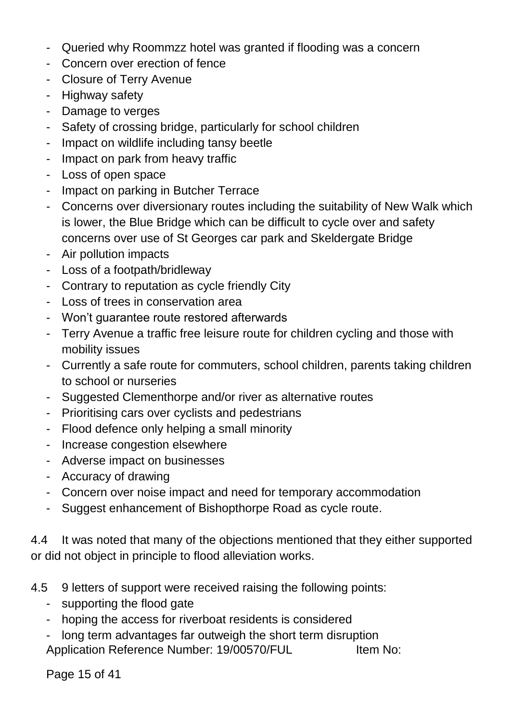- Queried why Roommzz hotel was granted if flooding was a concern
- Concern over erection of fence
- Closure of Terry Avenue
- Highway safety
- Damage to verges
- Safety of crossing bridge, particularly for school children
- Impact on wildlife including tansy beetle
- Impact on park from heavy traffic
- Loss of open space
- Impact on parking in Butcher Terrace
- Concerns over diversionary routes including the suitability of New Walk which is lower, the Blue Bridge which can be difficult to cycle over and safety concerns over use of St Georges car park and Skeldergate Bridge
- Air pollution impacts
- Loss of a footpath/bridleway
- Contrary to reputation as cycle friendly City
- Loss of trees in conservation area
- Won't guarantee route restored afterwards
- Terry Avenue a traffic free leisure route for children cycling and those with mobility issues
- Currently a safe route for commuters, school children, parents taking children to school or nurseries
- Suggested Clementhorpe and/or river as alternative routes
- Prioritising cars over cyclists and pedestrians
- Flood defence only helping a small minority
- Increase congestion elsewhere
- Adverse impact on businesses
- Accuracy of drawing
- Concern over noise impact and need for temporary accommodation
- Suggest enhancement of Bishopthorpe Road as cycle route.

4.4 It was noted that many of the objections mentioned that they either supported or did not object in principle to flood alleviation works.

- 4.5 9 letters of support were received raising the following points:
	- supporting the flood gate
	- hoping the access for riverboat residents is considered
	- Application Reference Number: 19/00570/FUL Item No: long term advantages far outweigh the short term disruption

Page 15 of 41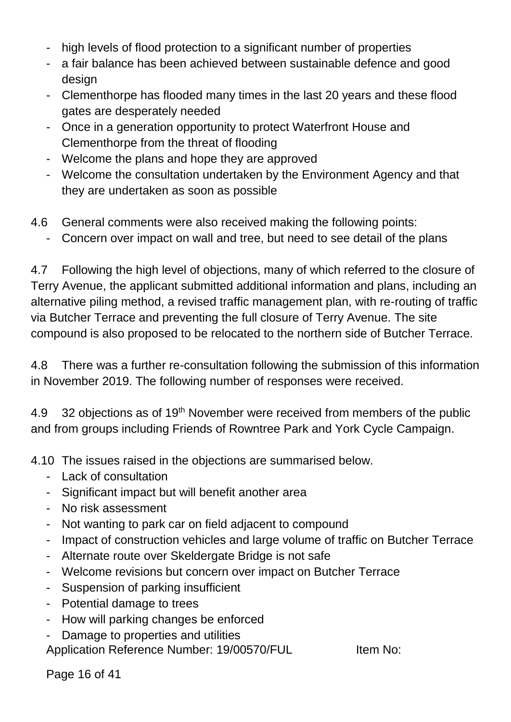- high levels of flood protection to a significant number of properties
- a fair balance has been achieved between sustainable defence and good design
- Clementhorpe has flooded many times in the last 20 years and these flood gates are desperately needed
- Once in a generation opportunity to protect Waterfront House and Clementhorpe from the threat of flooding
- Welcome the plans and hope they are approved
- Welcome the consultation undertaken by the Environment Agency and that they are undertaken as soon as possible
- 4.6 General comments were also received making the following points:
	- Concern over impact on wall and tree, but need to see detail of the plans

4.7 Following the high level of objections, many of which referred to the closure of Terry Avenue, the applicant submitted additional information and plans, including an alternative piling method, a revised traffic management plan, with re-routing of traffic via Butcher Terrace and preventing the full closure of Terry Avenue. The site compound is also proposed to be relocated to the northern side of Butcher Terrace.

4.8 There was a further re-consultation following the submission of this information in November 2019. The following number of responses were received.

4.9 32 objections as of 19<sup>th</sup> November were received from members of the public and from groups including Friends of Rowntree Park and York Cycle Campaign.

4.10 The issues raised in the objections are summarised below.

- Lack of consultation
- Significant impact but will benefit another area
- No risk assessment
- Not wanting to park car on field adjacent to compound
- Impact of construction vehicles and large volume of traffic on Butcher Terrace
- Alternate route over Skeldergate Bridge is not safe
- Welcome revisions but concern over impact on Butcher Terrace
- Suspension of parking insufficient
- Potential damage to trees
- How will parking changes be enforced
- Damage to properties and utilities

Application Reference Number: 19/00570/FUL Item No:

Page 16 of 41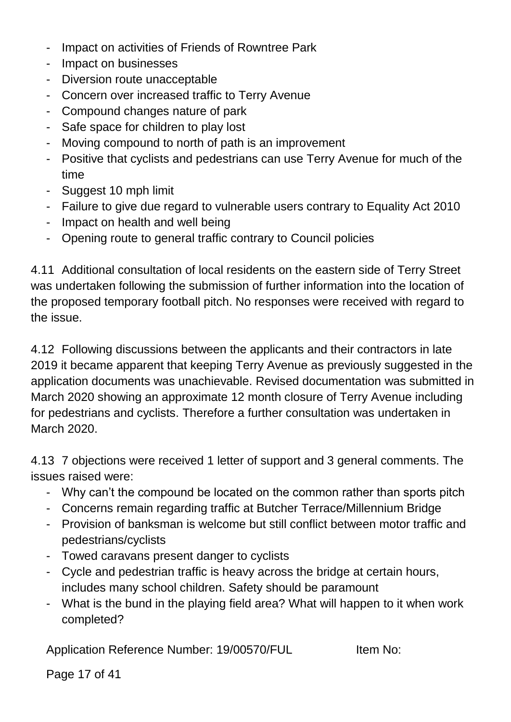- Impact on activities of Friends of Rowntree Park
- Impact on businesses
- Diversion route unacceptable
- Concern over increased traffic to Terry Avenue
- Compound changes nature of park
- Safe space for children to play lost
- Moving compound to north of path is an improvement
- Positive that cyclists and pedestrians can use Terry Avenue for much of the time
- Suggest 10 mph limit
- Failure to give due regard to vulnerable users contrary to Equality Act 2010
- Impact on health and well being
- Opening route to general traffic contrary to Council policies

4.11 Additional consultation of local residents on the eastern side of Terry Street was undertaken following the submission of further information into the location of the proposed temporary football pitch. No responses were received with regard to the issue.

4.12 Following discussions between the applicants and their contractors in late 2019 it became apparent that keeping Terry Avenue as previously suggested in the application documents was unachievable. Revised documentation was submitted in March 2020 showing an approximate 12 month closure of Terry Avenue including for pedestrians and cyclists. Therefore a further consultation was undertaken in March 2020.

4.13 7 objections were received 1 letter of support and 3 general comments. The issues raised were:

- Why can't the compound be located on the common rather than sports pitch
- Concerns remain regarding traffic at Butcher Terrace/Millennium Bridge
- Provision of banksman is welcome but still conflict between motor traffic and pedestrians/cyclists
- Towed caravans present danger to cyclists
- Cycle and pedestrian traffic is heavy across the bridge at certain hours, includes many school children. Safety should be paramount
- What is the bund in the playing field area? What will happen to it when work completed?

Application Reference Number: 19/00570/FUL Item No:

Page 17 of 41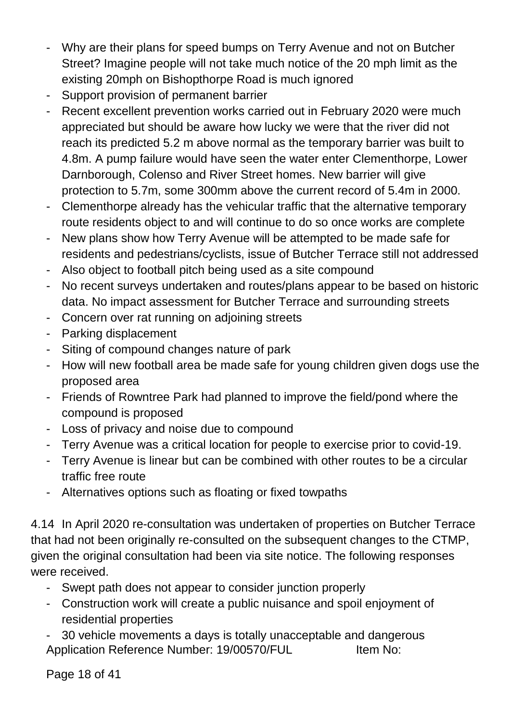- Why are their plans for speed bumps on Terry Avenue and not on Butcher Street? Imagine people will not take much notice of the 20 mph limit as the existing 20mph on Bishopthorpe Road is much ignored
- Support provision of permanent barrier
- Recent excellent prevention works carried out in February 2020 were much appreciated but should be aware how lucky we were that the river did not reach its predicted 5.2 m above normal as the temporary barrier was built to 4.8m. A pump failure would have seen the water enter Clementhorpe, Lower Darnborough, Colenso and River Street homes. New barrier will give protection to 5.7m, some 300mm above the current record of 5.4m in 2000.
- Clementhorpe already has the vehicular traffic that the alternative temporary route residents object to and will continue to do so once works are complete
- New plans show how Terry Avenue will be attempted to be made safe for residents and pedestrians/cyclists, issue of Butcher Terrace still not addressed
- Also object to football pitch being used as a site compound
- No recent surveys undertaken and routes/plans appear to be based on historic data. No impact assessment for Butcher Terrace and surrounding streets
- Concern over rat running on adjoining streets
- Parking displacement
- Siting of compound changes nature of park
- How will new football area be made safe for young children given dogs use the proposed area
- Friends of Rowntree Park had planned to improve the field/pond where the compound is proposed
- Loss of privacy and noise due to compound
- Terry Avenue was a critical location for people to exercise prior to covid-19.
- Terry Avenue is linear but can be combined with other routes to be a circular traffic free route
- Alternatives options such as floating or fixed towpaths

4.14 In April 2020 re-consultation was undertaken of properties on Butcher Terrace that had not been originally re-consulted on the subsequent changes to the CTMP, given the original consultation had been via site notice. The following responses were received.

- Swept path does not appear to consider junction properly
- Construction work will create a public nuisance and spoil enjoyment of residential properties
- Application Reference Number: 19/00570/FUL Item No: 30 vehicle movements a days is totally unacceptable and dangerous

Page 18 of 41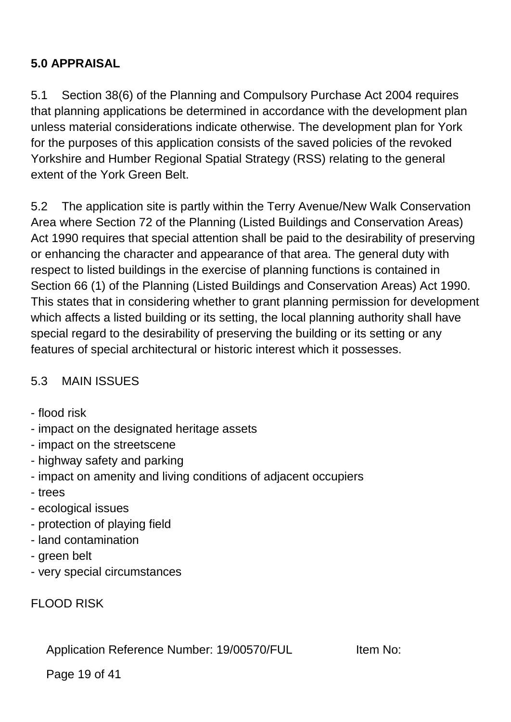# **5.0 APPRAISAL**

5.1 Section 38(6) of the Planning and Compulsory Purchase Act 2004 requires that planning applications be determined in accordance with the development plan unless material considerations indicate otherwise. The development plan for York for the purposes of this application consists of the saved policies of the revoked Yorkshire and Humber Regional Spatial Strategy (RSS) relating to the general extent of the York Green Belt.

5.2 The application site is partly within the Terry Avenue/New Walk Conservation Area where Section 72 of the Planning (Listed Buildings and Conservation Areas) Act 1990 requires that special attention shall be paid to the desirability of preserving or enhancing the character and appearance of that area. The general duty with respect to listed buildings in the exercise of planning functions is contained in Section 66 (1) of the Planning (Listed Buildings and Conservation Areas) Act 1990. This states that in considering whether to grant planning permission for development which affects a listed building or its setting, the local planning authority shall have special regard to the desirability of preserving the building or its setting or any features of special architectural or historic interest which it possesses.

## 5.3 MAIN ISSUES

- flood risk
- impact on the designated heritage assets
- impact on the streetscene
- highway safety and parking
- impact on amenity and living conditions of adjacent occupiers
- trees
- ecological issues
- protection of playing field
- land contamination
- green belt
- very special circumstances

FLOOD RISK

Application Reference Number: 19/00570/FUL Item No:

Page 19 of 41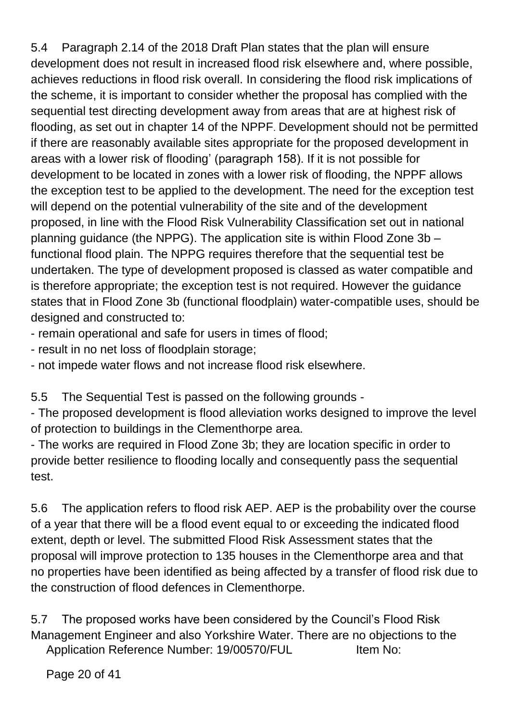5.4 Paragraph 2.14 of the 2018 Draft Plan states that the plan will ensure development does not result in increased flood risk elsewhere and, where possible, achieves reductions in flood risk overall. In considering the flood risk implications of the scheme, it is important to consider whether the proposal has complied with the sequential test directing development away from areas that are at highest risk of flooding, as set out in chapter 14 of the NPPF. Development should not be permitted if there are reasonably available sites appropriate for the proposed development in areas with a lower risk of flooding' (paragraph 158). If it is not possible for development to be located in zones with a lower risk of flooding, the NPPF allows the exception test to be applied to the development. The need for the exception test will depend on the potential vulnerability of the site and of the development proposed, in line with the Flood Risk Vulnerability Classification set out in national planning guidance (the NPPG). The application site is within Flood Zone 3b – functional flood plain. The NPPG requires therefore that the sequential test be undertaken. The type of development proposed is classed as water compatible and is therefore appropriate; the exception test is not required. However the guidance states that in Flood Zone 3b (functional floodplain) water-compatible uses, should be designed and constructed to:

- remain operational and safe for users in times of flood;
- result in no net loss of floodplain storage;
- not impede water flows and not increase flood risk elsewhere.

5.5 The Sequential Test is passed on the following grounds -

- The proposed development is flood alleviation works designed to improve the level of protection to buildings in the Clementhorpe area.

- The works are required in Flood Zone 3b; they are location specific in order to provide better resilience to flooding locally and consequently pass the sequential test.

5.6 The application refers to flood risk AEP. AEP is the probability over the course of a year that there will be a flood event equal to or exceeding the indicated flood extent, depth or level. The submitted Flood Risk Assessment states that the proposal will improve protection to 135 houses in the Clementhorpe area and that no properties have been identified as being affected by a transfer of flood risk due to the construction of flood defences in Clementhorpe.

Application Reference Number: 19/00570/FUL Item No: 5.7 The proposed works have been considered by the Council's Flood Risk Management Engineer and also Yorkshire Water. There are no objections to the

Page 20 of 41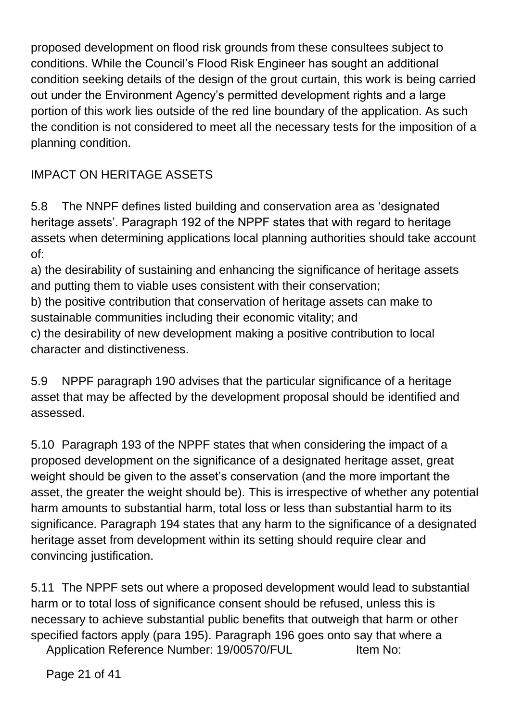proposed development on flood risk grounds from these consultees subject to conditions. While the Council's Flood Risk Engineer has sought an additional condition seeking details of the design of the grout curtain, this work is being carried out under the Environment Agency's permitted development rights and a large portion of this work lies outside of the red line boundary of the application. As such the condition is not considered to meet all the necessary tests for the imposition of a planning condition.

# IMPACT ON HERITAGE ASSETS

5.8 The NNPF defines listed building and conservation area as 'designated heritage assets'. Paragraph 192 of the NPPF states that with regard to heritage assets when determining applications local planning authorities should take account of:

a) the desirability of sustaining and enhancing the significance of heritage assets and putting them to viable uses consistent with their conservation;

b) the positive contribution that conservation of heritage assets can make to sustainable communities including their economic vitality; and

c) the desirability of new development making a positive contribution to local character and distinctiveness.

5.9 NPPF paragraph 190 advises that the particular significance of a heritage asset that may be affected by the development proposal should be identified and assessed.

5.10 Paragraph 193 of the NPPF states that when considering the impact of a proposed development on the significance of a designated heritage asset, great weight should be given to the asset's conservation (and the more important the asset, the greater the weight should be). This is irrespective of whether any potential harm amounts to substantial harm, total loss or less than substantial harm to its significance. Paragraph 194 states that any harm to the significance of a designated heritage asset from development within its setting should require clear and convincing justification.

5.11 The NPPF sets out where a proposed development would lead to substantial harm or to total loss of significance consent should be refused, unless this is necessary to achieve substantial public benefits that outweigh that harm or other specified factors apply (para 195). Paragraph 196 goes onto say that where a

Application Reference Number: 19/00570/FUL Item No:

Page 21 of 41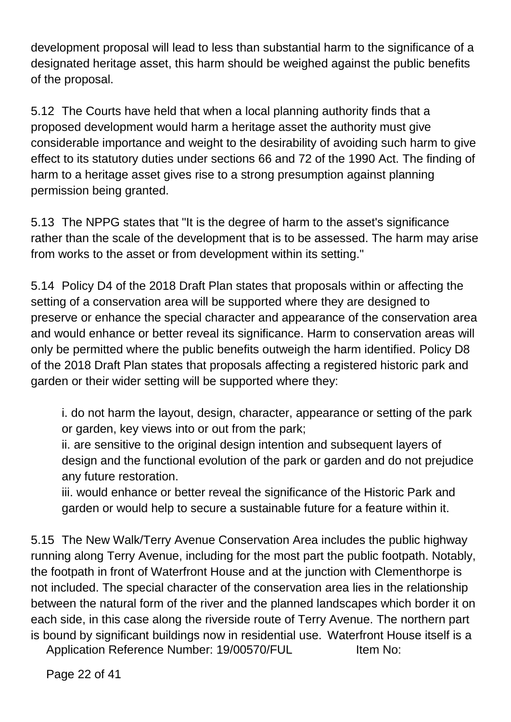development proposal will lead to less than substantial harm to the significance of a designated heritage asset, this harm should be weighed against the public benefits of the proposal.

5.12 The Courts have held that when a local planning authority finds that a proposed development would harm a heritage asset the authority must give considerable importance and weight to the desirability of avoiding such harm to give effect to its statutory duties under sections 66 and 72 of the 1990 Act. The finding of harm to a heritage asset gives rise to a strong presumption against planning permission being granted.

5.13 The NPPG states that "It is the degree of harm to the asset's significance rather than the scale of the development that is to be assessed. The harm may arise from works to the asset or from development within its setting."

5.14 Policy D4 of the 2018 Draft Plan states that proposals within or affecting the setting of a conservation area will be supported where they are designed to preserve or enhance the special character and appearance of the conservation area and would enhance or better reveal its significance. Harm to conservation areas will only be permitted where the public benefits outweigh the harm identified. Policy D8 of the 2018 Draft Plan states that proposals affecting a registered historic park and garden or their wider setting will be supported where they:

i. do not harm the layout, design, character, appearance or setting of the park or garden, key views into or out from the park;

ii. are sensitive to the original design intention and subsequent layers of design and the functional evolution of the park or garden and do not prejudice any future restoration.

iii. would enhance or better reveal the significance of the Historic Park and garden or would help to secure a sustainable future for a feature within it.

5.15 The New Walk/Terry Avenue Conservation Area includes the public highway running along Terry Avenue, including for the most part the public footpath. Notably, the footpath in front of Waterfront House and at the junction with Clementhorpe is not included. The special character of the conservation area lies in the relationship between the natural form of the river and the planned landscapes which border it on each side, in this case along the riverside route of Terry Avenue. The northern part is bound by significant buildings now in residential use. Waterfront House itself is a

Application Reference Number: 19/00570/FUL Item No: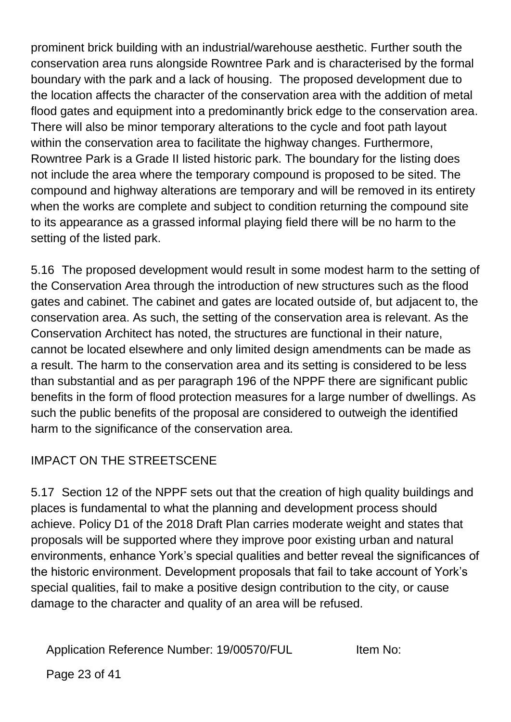prominent brick building with an industrial/warehouse aesthetic. Further south the conservation area runs alongside Rowntree Park and is characterised by the formal boundary with the park and a lack of housing. The proposed development due to the location affects the character of the conservation area with the addition of metal flood gates and equipment into a predominantly brick edge to the conservation area. There will also be minor temporary alterations to the cycle and foot path layout within the conservation area to facilitate the highway changes. Furthermore, Rowntree Park is a Grade II listed historic park. The boundary for the listing does not include the area where the temporary compound is proposed to be sited. The compound and highway alterations are temporary and will be removed in its entirety when the works are complete and subject to condition returning the compound site to its appearance as a grassed informal playing field there will be no harm to the setting of the listed park.

5.16 The proposed development would result in some modest harm to the setting of the Conservation Area through the introduction of new structures such as the flood gates and cabinet. The cabinet and gates are located outside of, but adjacent to, the conservation area. As such, the setting of the conservation area is relevant. As the Conservation Architect has noted, the structures are functional in their nature, cannot be located elsewhere and only limited design amendments can be made as a result. The harm to the conservation area and its setting is considered to be less than substantial and as per paragraph 196 of the NPPF there are significant public benefits in the form of flood protection measures for a large number of dwellings. As such the public benefits of the proposal are considered to outweigh the identified harm to the significance of the conservation area.

## IMPACT ON THE STREETSCENE

5.17 Section 12 of the NPPF sets out that the creation of high quality buildings and places is fundamental to what the planning and development process should achieve. Policy D1 of the 2018 Draft Plan carries moderate weight and states that proposals will be supported where they improve poor existing urban and natural environments, enhance York's special qualities and better reveal the significances of the historic environment. Development proposals that fail to take account of York's special qualities, fail to make a positive design contribution to the city, or cause damage to the character and quality of an area will be refused.

Application Reference Number: 19/00570/FUL Item No:

Page 23 of 41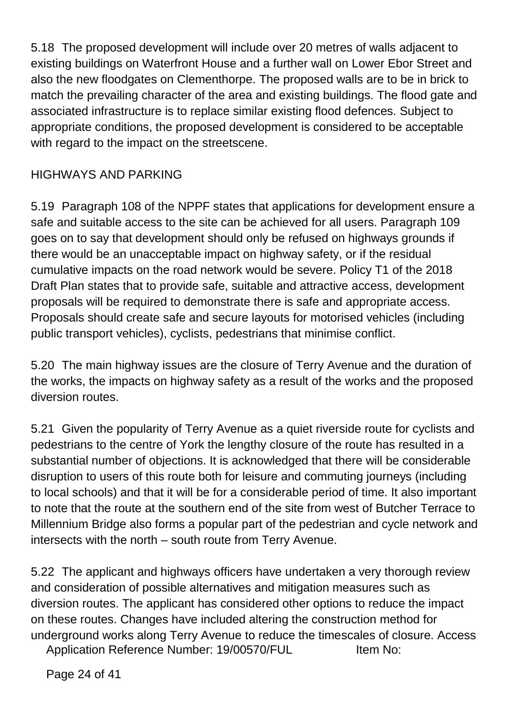5.18 The proposed development will include over 20 metres of walls adjacent to existing buildings on Waterfront House and a further wall on Lower Ebor Street and also the new floodgates on Clementhorpe. The proposed walls are to be in brick to match the prevailing character of the area and existing buildings. The flood gate and associated infrastructure is to replace similar existing flood defences. Subject to appropriate conditions, the proposed development is considered to be acceptable with regard to the impact on the streetscene.

## HIGHWAYS AND PARKING

5.19 Paragraph 108 of the NPPF states that applications for development ensure a safe and suitable access to the site can be achieved for all users. Paragraph 109 goes on to say that development should only be refused on highways grounds if there would be an unacceptable impact on highway safety, or if the residual cumulative impacts on the road network would be severe. Policy T1 of the 2018 Draft Plan states that to provide safe, suitable and attractive access, development proposals will be required to demonstrate there is safe and appropriate access. Proposals should create safe and secure layouts for motorised vehicles (including public transport vehicles), cyclists, pedestrians that minimise conflict.

5.20 The main highway issues are the closure of Terry Avenue and the duration of the works, the impacts on highway safety as a result of the works and the proposed diversion routes.

5.21 Given the popularity of Terry Avenue as a quiet riverside route for cyclists and pedestrians to the centre of York the lengthy closure of the route has resulted in a substantial number of objections. It is acknowledged that there will be considerable disruption to users of this route both for leisure and commuting journeys (including to local schools) and that it will be for a considerable period of time. It also important to note that the route at the southern end of the site from west of Butcher Terrace to Millennium Bridge also forms a popular part of the pedestrian and cycle network and intersects with the north – south route from Terry Avenue.

5.22 The applicant and highways officers have undertaken a very thorough review and consideration of possible alternatives and mitigation measures such as diversion routes. The applicant has considered other options to reduce the impact on these routes. Changes have included altering the construction method for underground works along Terry Avenue to reduce the timescales of closure. Access

Application Reference Number: 19/00570/FUL Item No:

Page 24 of 41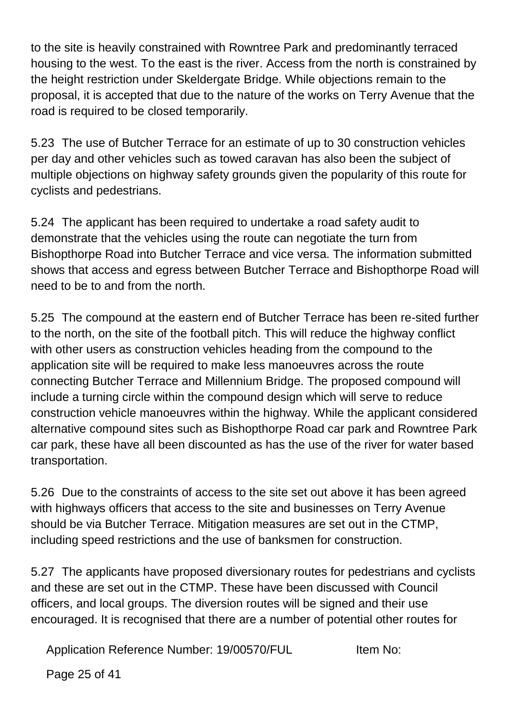to the site is heavily constrained with Rowntree Park and predominantly terraced housing to the west. To the east is the river. Access from the north is constrained by the height restriction under Skeldergate Bridge. While objections remain to the proposal, it is accepted that due to the nature of the works on Terry Avenue that the road is required to be closed temporarily.

5.23 The use of Butcher Terrace for an estimate of up to 30 construction vehicles per day and other vehicles such as towed caravan has also been the subject of multiple objections on highway safety grounds given the popularity of this route for cyclists and pedestrians.

5.24 The applicant has been required to undertake a road safety audit to demonstrate that the vehicles using the route can negotiate the turn from Bishopthorpe Road into Butcher Terrace and vice versa. The information submitted shows that access and egress between Butcher Terrace and Bishopthorpe Road will need to be to and from the north.

5.25 The compound at the eastern end of Butcher Terrace has been re-sited further to the north, on the site of the football pitch. This will reduce the highway conflict with other users as construction vehicles heading from the compound to the application site will be required to make less manoeuvres across the route connecting Butcher Terrace and Millennium Bridge. The proposed compound will include a turning circle within the compound design which will serve to reduce construction vehicle manoeuvres within the highway. While the applicant considered alternative compound sites such as Bishopthorpe Road car park and Rowntree Park car park, these have all been discounted as has the use of the river for water based transportation.

5.26 Due to the constraints of access to the site set out above it has been agreed with highways officers that access to the site and businesses on Terry Avenue should be via Butcher Terrace. Mitigation measures are set out in the CTMP, including speed restrictions and the use of banksmen for construction.

5.27 The applicants have proposed diversionary routes for pedestrians and cyclists and these are set out in the CTMP. These have been discussed with Council officers, and local groups. The diversion routes will be signed and their use encouraged. It is recognised that there are a number of potential other routes for

Application Reference Number: 19/00570/FUL Item No:

Page 25 of 41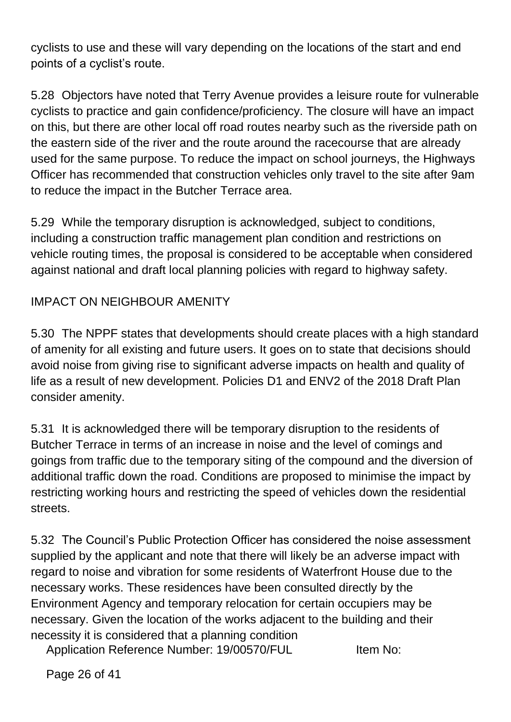cyclists to use and these will vary depending on the locations of the start and end points of a cyclist's route.

5.28 Objectors have noted that Terry Avenue provides a leisure route for vulnerable cyclists to practice and gain confidence/proficiency. The closure will have an impact on this, but there are other local off road routes nearby such as the riverside path on the eastern side of the river and the route around the racecourse that are already used for the same purpose. To reduce the impact on school journeys, the Highways Officer has recommended that construction vehicles only travel to the site after 9am to reduce the impact in the Butcher Terrace area.

5.29 While the temporary disruption is acknowledged, subject to conditions, including a construction traffic management plan condition and restrictions on vehicle routing times, the proposal is considered to be acceptable when considered against national and draft local planning policies with regard to highway safety.

#### IMPACT ON NEIGHBOUR AMENITY

5.30 The NPPF states that developments should create places with a high standard of amenity for all existing and future users. It goes on to state that decisions should avoid noise from giving rise to significant adverse impacts on health and quality of life as a result of new development. Policies D1 and ENV2 of the 2018 Draft Plan consider amenity.

5.31 It is acknowledged there will be temporary disruption to the residents of Butcher Terrace in terms of an increase in noise and the level of comings and goings from traffic due to the temporary siting of the compound and the diversion of additional traffic down the road. Conditions are proposed to minimise the impact by restricting working hours and restricting the speed of vehicles down the residential streets.

5.32 The Council's Public Protection Officer has considered the noise assessment supplied by the applicant and note that there will likely be an adverse impact with regard to noise and vibration for some residents of Waterfront House due to the necessary works. These residences have been consulted directly by the Environment Agency and temporary relocation for certain occupiers may be necessary. Given the location of the works adjacent to the building and their necessity it is considered that a planning condition

Application Reference Number: 19/00570/FUL Item No:

Page 26 of 41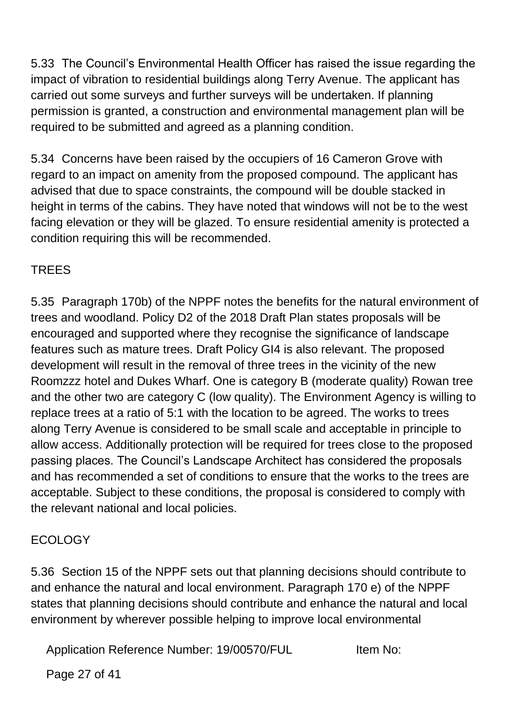5.33 The Council's Environmental Health Officer has raised the issue regarding the impact of vibration to residential buildings along Terry Avenue. The applicant has carried out some surveys and further surveys will be undertaken. If planning permission is granted, a construction and environmental management plan will be required to be submitted and agreed as a planning condition.

5.34 Concerns have been raised by the occupiers of 16 Cameron Grove with regard to an impact on amenity from the proposed compound. The applicant has advised that due to space constraints, the compound will be double stacked in height in terms of the cabins. They have noted that windows will not be to the west facing elevation or they will be glazed. To ensure residential amenity is protected a condition requiring this will be recommended.

## TREES

5.35 Paragraph 170b) of the NPPF notes the benefits for the natural environment of trees and woodland. Policy D2 of the 2018 Draft Plan states proposals will be encouraged and supported where they recognise the significance of landscape features such as mature trees. Draft Policy GI4 is also relevant. The proposed development will result in the removal of three trees in the vicinity of the new Roomzzz hotel and Dukes Wharf. One is category B (moderate quality) Rowan tree and the other two are category C (low quality). The Environment Agency is willing to replace trees at a ratio of 5:1 with the location to be agreed. The works to trees along Terry Avenue is considered to be small scale and acceptable in principle to allow access. Additionally protection will be required for trees close to the proposed passing places. The Council's Landscape Architect has considered the proposals and has recommended a set of conditions to ensure that the works to the trees are acceptable. Subject to these conditions, the proposal is considered to comply with the relevant national and local policies.

## ECOLOGY

5.36 Section 15 of the NPPF sets out that planning decisions should contribute to and enhance the natural and local environment. Paragraph 170 e) of the NPPF states that planning decisions should contribute and enhance the natural and local environment by wherever possible helping to improve local environmental

Application Reference Number: 19/00570/FUL Item No:

Page 27 of 41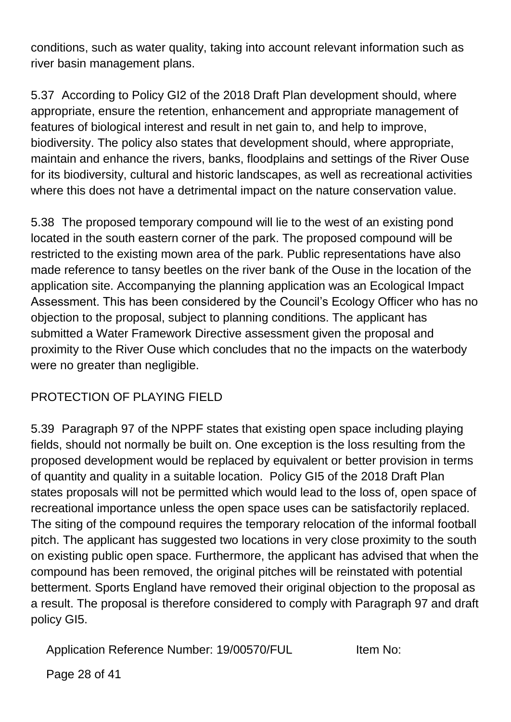conditions, such as water quality, taking into account relevant information such as river basin management plans.

5.37 According to Policy GI2 of the 2018 Draft Plan development should, where appropriate, ensure the retention, enhancement and appropriate management of features of biological interest and result in net gain to, and help to improve, biodiversity. The policy also states that development should, where appropriate, maintain and enhance the rivers, banks, floodplains and settings of the River Ouse for its biodiversity, cultural and historic landscapes, as well as recreational activities where this does not have a detrimental impact on the nature conservation value.

5.38 The proposed temporary compound will lie to the west of an existing pond located in the south eastern corner of the park. The proposed compound will be restricted to the existing mown area of the park. Public representations have also made reference to tansy beetles on the river bank of the Ouse in the location of the application site. Accompanying the planning application was an Ecological Impact Assessment. This has been considered by the Council's Ecology Officer who has no objection to the proposal, subject to planning conditions. The applicant has submitted a Water Framework Directive assessment given the proposal and proximity to the River Ouse which concludes that no the impacts on the waterbody were no greater than negligible.

# PROTECTION OF PLAYING FIELD

5.39 Paragraph 97 of the NPPF states that existing open space including playing fields, should not normally be built on. One exception is the loss resulting from the proposed development would be replaced by equivalent or better provision in terms of quantity and quality in a suitable location. Policy GI5 of the 2018 Draft Plan states proposals will not be permitted which would lead to the loss of, open space of recreational importance unless the open space uses can be satisfactorily replaced. The siting of the compound requires the temporary relocation of the informal football pitch. The applicant has suggested two locations in very close proximity to the south on existing public open space. Furthermore, the applicant has advised that when the compound has been removed, the original pitches will be reinstated with potential betterment. Sports England have removed their original objection to the proposal as a result. The proposal is therefore considered to comply with Paragraph 97 and draft policy GI5.

Application Reference Number: 19/00570/FUL Item No:

Page 28 of 41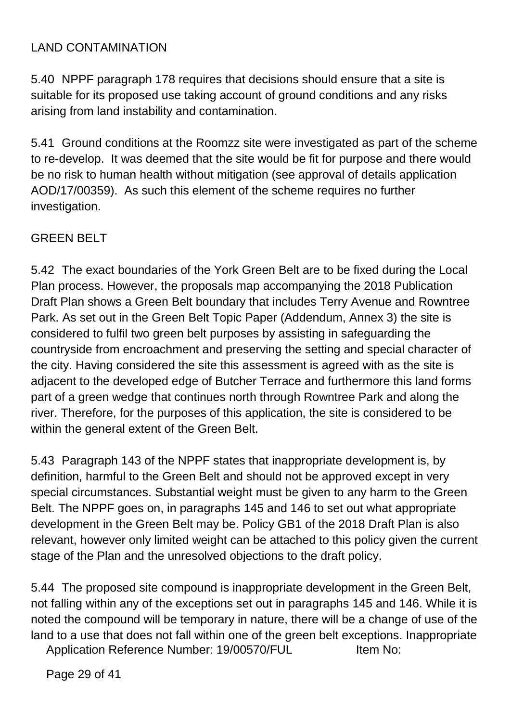## LAND CONTAMINATION

5.40 NPPF paragraph 178 requires that decisions should ensure that a site is suitable for its proposed use taking account of ground conditions and any risks arising from land instability and contamination.

5.41 Ground conditions at the Roomzz site were investigated as part of the scheme to re-develop. It was deemed that the site would be fit for purpose and there would be no risk to human health without mitigation (see approval of details application AOD/17/00359). As such this element of the scheme requires no further investigation.

## GREEN BELT

5.42 The exact boundaries of the York Green Belt are to be fixed during the Local Plan process. However, the proposals map accompanying the 2018 Publication Draft Plan shows a Green Belt boundary that includes Terry Avenue and Rowntree Park. As set out in the Green Belt Topic Paper (Addendum, Annex 3) the site is considered to fulfil two green belt purposes by assisting in safeguarding the countryside from encroachment and preserving the setting and special character of the city. Having considered the site this assessment is agreed with as the site is adjacent to the developed edge of Butcher Terrace and furthermore this land forms part of a green wedge that continues north through Rowntree Park and along the river. Therefore, for the purposes of this application, the site is considered to be within the general extent of the Green Belt.

5.43 Paragraph 143 of the NPPF states that inappropriate development is, by definition, harmful to the Green Belt and should not be approved except in very special circumstances. Substantial weight must be given to any harm to the Green Belt. The NPPF goes on, in paragraphs 145 and 146 to set out what appropriate development in the Green Belt may be. Policy GB1 of the 2018 Draft Plan is also relevant, however only limited weight can be attached to this policy given the current stage of the Plan and the unresolved objections to the draft policy.

5.44 The proposed site compound is inappropriate development in the Green Belt, not falling within any of the exceptions set out in paragraphs 145 and 146. While it is noted the compound will be temporary in nature, there will be a change of use of the land to a use that does not fall within one of the green belt exceptions. Inappropriate

Application Reference Number: 19/00570/FUL Item No:

Page 29 of 41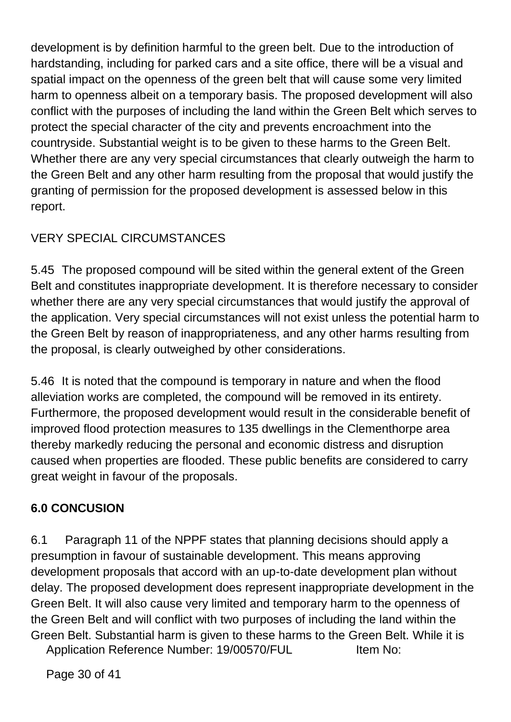development is by definition harmful to the green belt. Due to the introduction of hardstanding, including for parked cars and a site office, there will be a visual and spatial impact on the openness of the green belt that will cause some very limited harm to openness albeit on a temporary basis. The proposed development will also conflict with the purposes of including the land within the Green Belt which serves to protect the special character of the city and prevents encroachment into the countryside. Substantial weight is to be given to these harms to the Green Belt. Whether there are any very special circumstances that clearly outweigh the harm to the Green Belt and any other harm resulting from the proposal that would justify the granting of permission for the proposed development is assessed below in this report.

# VERY SPECIAL CIRCUMSTANCES

5.45 The proposed compound will be sited within the general extent of the Green Belt and constitutes inappropriate development. It is therefore necessary to consider whether there are any very special circumstances that would justify the approval of the application. Very special circumstances will not exist unless the potential harm to the Green Belt by reason of inappropriateness, and any other harms resulting from the proposal, is clearly outweighed by other considerations.

5.46 It is noted that the compound is temporary in nature and when the flood alleviation works are completed, the compound will be removed in its entirety. Furthermore, the proposed development would result in the considerable benefit of improved flood protection measures to 135 dwellings in the Clementhorpe area thereby markedly reducing the personal and economic distress and disruption caused when properties are flooded. These public benefits are considered to carry great weight in favour of the proposals.

# **6.0 CONCUSION**

6.1 Paragraph 11 of the NPPF states that planning decisions should apply a presumption in favour of sustainable development. This means approving development proposals that accord with an up-to-date development plan without delay. The proposed development does represent inappropriate development in the Green Belt. It will also cause very limited and temporary harm to the openness of the Green Belt and will conflict with two purposes of including the land within the Green Belt. Substantial harm is given to these harms to the Green Belt. While it is

Application Reference Number: 19/00570/FUL Item No:

Page 30 of 41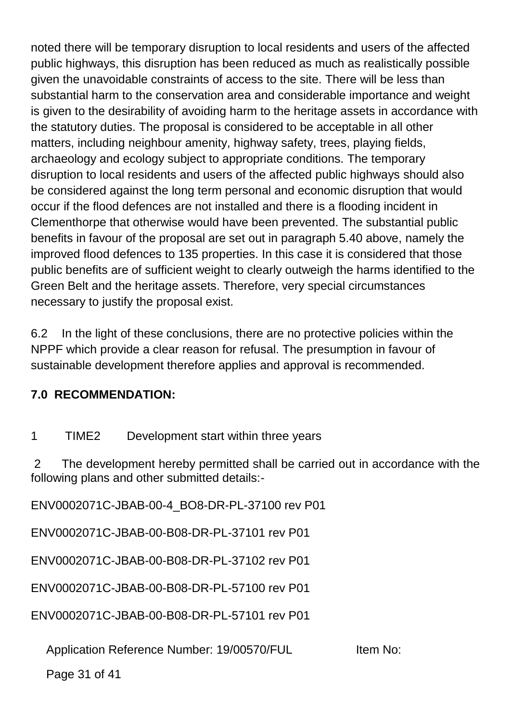noted there will be temporary disruption to local residents and users of the affected public highways, this disruption has been reduced as much as realistically possible given the unavoidable constraints of access to the site. There will be less than substantial harm to the conservation area and considerable importance and weight is given to the desirability of avoiding harm to the heritage assets in accordance with the statutory duties. The proposal is considered to be acceptable in all other matters, including neighbour amenity, highway safety, trees, playing fields, archaeology and ecology subject to appropriate conditions. The temporary disruption to local residents and users of the affected public highways should also be considered against the long term personal and economic disruption that would occur if the flood defences are not installed and there is a flooding incident in Clementhorpe that otherwise would have been prevented. The substantial public benefits in favour of the proposal are set out in paragraph 5.40 above, namely the improved flood defences to 135 properties. In this case it is considered that those public benefits are of sufficient weight to clearly outweigh the harms identified to the Green Belt and the heritage assets. Therefore, very special circumstances necessary to justify the proposal exist.

6.2 In the light of these conclusions, there are no protective policies within the NPPF which provide a clear reason for refusal. The presumption in favour of sustainable development therefore applies and approval is recommended.

#### **7.0 RECOMMENDATION:**

1 TIME2 Development start within three years

2 The development hereby permitted shall be carried out in accordance with the following plans and other submitted details:-

ENV0002071C-JBAB-00-4\_BO8-DR-PL-37100 rev P01

ENV0002071C-JBAB-00-B08-DR-PL-37101 rev P01

ENV0002071C-JBAB-00-B08-DR-PL-37102 rev P01

ENV0002071C-JBAB-00-B08-DR-PL-57100 rev P01

ENV0002071C-JBAB-00-B08-DR-PL-57101 rev P01

Application Reference Number: 19/00570/FUL Item No:

Page 31 of 41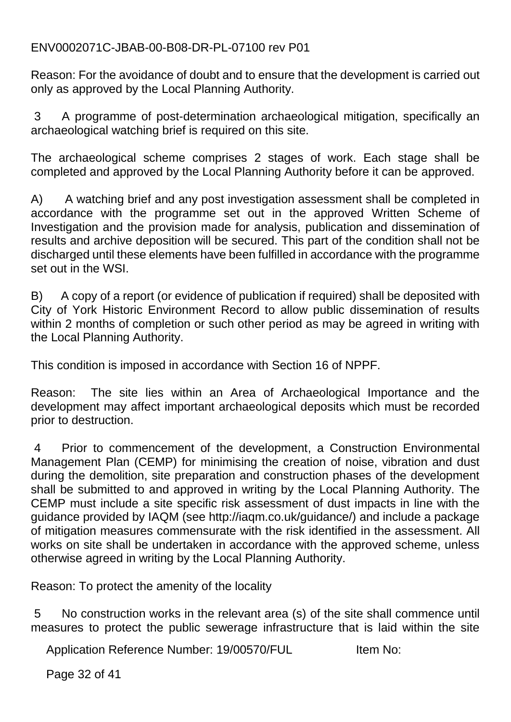ENV0002071C-JBAB-00-B08-DR-PL-07100 rev P01

Reason: For the avoidance of doubt and to ensure that the development is carried out only as approved by the Local Planning Authority.

3 A programme of post-determination archaeological mitigation, specifically an archaeological watching brief is required on this site.

The archaeological scheme comprises 2 stages of work. Each stage shall be completed and approved by the Local Planning Authority before it can be approved.

A) A watching brief and any post investigation assessment shall be completed in accordance with the programme set out in the approved Written Scheme of Investigation and the provision made for analysis, publication and dissemination of results and archive deposition will be secured. This part of the condition shall not be discharged until these elements have been fulfilled in accordance with the programme set out in the WSI.

B) A copy of a report (or evidence of publication if required) shall be deposited with City of York Historic Environment Record to allow public dissemination of results within 2 months of completion or such other period as may be agreed in writing with the Local Planning Authority.

This condition is imposed in accordance with Section 16 of NPPF.

Reason: The site lies within an Area of Archaeological Importance and the development may affect important archaeological deposits which must be recorded prior to destruction.

4 Prior to commencement of the development, a Construction Environmental Management Plan (CEMP) for minimising the creation of noise, vibration and dust during the demolition, site preparation and construction phases of the development shall be submitted to and approved in writing by the Local Planning Authority. The CEMP must include a site specific risk assessment of dust impacts in line with the guidance provided by IAQM (see http://iaqm.co.uk/guidance/) and include a package of mitigation measures commensurate with the risk identified in the assessment. All works on site shall be undertaken in accordance with the approved scheme, unless otherwise agreed in writing by the Local Planning Authority.

Reason: To protect the amenity of the locality

5 No construction works in the relevant area (s) of the site shall commence until measures to protect the public sewerage infrastructure that is laid within the site

Application Reference Number: 19/00570/FUL Item No:

Page 32 of 41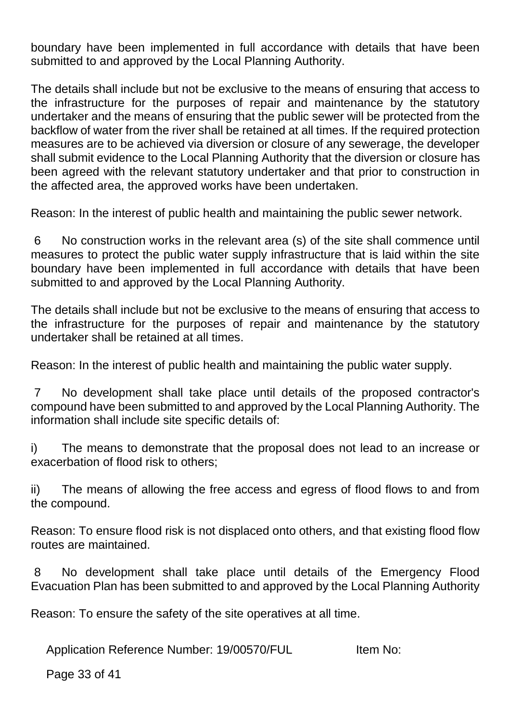boundary have been implemented in full accordance with details that have been submitted to and approved by the Local Planning Authority.

The details shall include but not be exclusive to the means of ensuring that access to the infrastructure for the purposes of repair and maintenance by the statutory undertaker and the means of ensuring that the public sewer will be protected from the backflow of water from the river shall be retained at all times. If the required protection measures are to be achieved via diversion or closure of any sewerage, the developer shall submit evidence to the Local Planning Authority that the diversion or closure has been agreed with the relevant statutory undertaker and that prior to construction in the affected area, the approved works have been undertaken.

Reason: In the interest of public health and maintaining the public sewer network.

6 No construction works in the relevant area (s) of the site shall commence until measures to protect the public water supply infrastructure that is laid within the site boundary have been implemented in full accordance with details that have been submitted to and approved by the Local Planning Authority.

The details shall include but not be exclusive to the means of ensuring that access to the infrastructure for the purposes of repair and maintenance by the statutory undertaker shall be retained at all times.

Reason: In the interest of public health and maintaining the public water supply.

7 No development shall take place until details of the proposed contractor's compound have been submitted to and approved by the Local Planning Authority. The information shall include site specific details of:

i) The means to demonstrate that the proposal does not lead to an increase or exacerbation of flood risk to others;

ii) The means of allowing the free access and egress of flood flows to and from the compound.

Reason: To ensure flood risk is not displaced onto others, and that existing flood flow routes are maintained.

8 No development shall take place until details of the Emergency Flood Evacuation Plan has been submitted to and approved by the Local Planning Authority

Reason: To ensure the safety of the site operatives at all time.

Application Reference Number: 19/00570/FUL Item No:

Page 33 of 41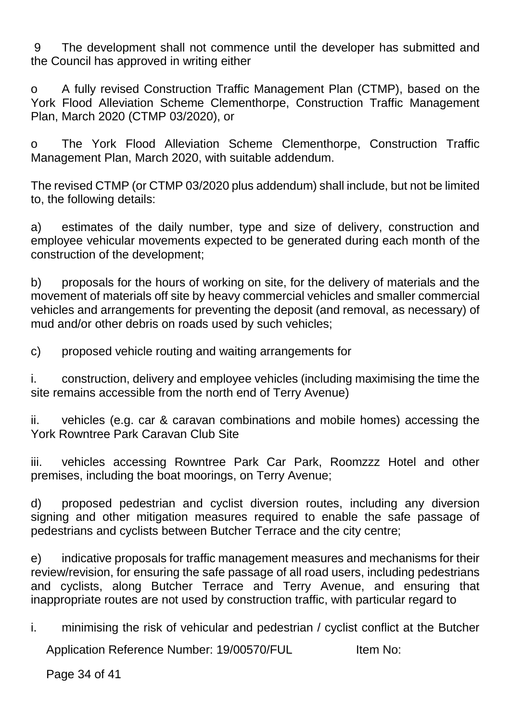9 The development shall not commence until the developer has submitted and the Council has approved in writing either

o A fully revised Construction Traffic Management Plan (CTMP), based on the York Flood Alleviation Scheme Clementhorpe, Construction Traffic Management Plan, March 2020 (CTMP 03/2020), or

o The York Flood Alleviation Scheme Clementhorpe, Construction Traffic Management Plan, March 2020, with suitable addendum.

The revised CTMP (or CTMP 03/2020 plus addendum) shall include, but not be limited to, the following details:

a) estimates of the daily number, type and size of delivery, construction and employee vehicular movements expected to be generated during each month of the construction of the development;

b) proposals for the hours of working on site, for the delivery of materials and the movement of materials off site by heavy commercial vehicles and smaller commercial vehicles and arrangements for preventing the deposit (and removal, as necessary) of mud and/or other debris on roads used by such vehicles;

c) proposed vehicle routing and waiting arrangements for

i. construction, delivery and employee vehicles (including maximising the time the site remains accessible from the north end of Terry Avenue)

ii. vehicles (e.g. car & caravan combinations and mobile homes) accessing the York Rowntree Park Caravan Club Site

iii. vehicles accessing Rowntree Park Car Park, Roomzzz Hotel and other premises, including the boat moorings, on Terry Avenue;

d) proposed pedestrian and cyclist diversion routes, including any diversion signing and other mitigation measures required to enable the safe passage of pedestrians and cyclists between Butcher Terrace and the city centre;

e) indicative proposals for traffic management measures and mechanisms for their review/revision, for ensuring the safe passage of all road users, including pedestrians and cyclists, along Butcher Terrace and Terry Avenue, and ensuring that inappropriate routes are not used by construction traffic, with particular regard to

i. minimising the risk of vehicular and pedestrian / cyclist conflict at the Butcher

Application Reference Number: 19/00570/FUL Item No:

Page 34 of 41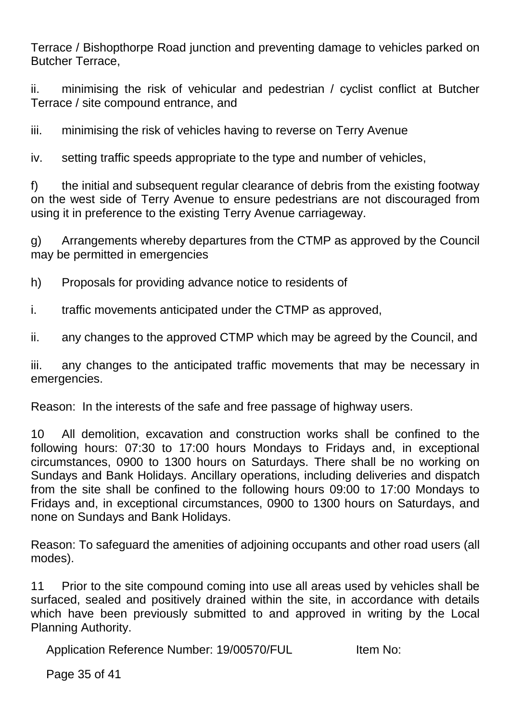Terrace / Bishopthorpe Road junction and preventing damage to vehicles parked on Butcher Terrace,

ii. minimising the risk of vehicular and pedestrian / cyclist conflict at Butcher Terrace / site compound entrance, and

iii. minimising the risk of vehicles having to reverse on Terry Avenue

iv. setting traffic speeds appropriate to the type and number of vehicles,

f) the initial and subsequent regular clearance of debris from the existing footway on the west side of Terry Avenue to ensure pedestrians are not discouraged from using it in preference to the existing Terry Avenue carriageway.

g) Arrangements whereby departures from the CTMP as approved by the Council may be permitted in emergencies

h) Proposals for providing advance notice to residents of

i. traffic movements anticipated under the CTMP as approved,

ii. any changes to the approved CTMP which may be agreed by the Council, and

iii. any changes to the anticipated traffic movements that may be necessary in emergencies.

Reason: In the interests of the safe and free passage of highway users.

10 All demolition, excavation and construction works shall be confined to the following hours: 07:30 to 17:00 hours Mondays to Fridays and, in exceptional circumstances, 0900 to 1300 hours on Saturdays. There shall be no working on Sundays and Bank Holidays. Ancillary operations, including deliveries and dispatch from the site shall be confined to the following hours 09:00 to 17:00 Mondays to Fridays and, in exceptional circumstances, 0900 to 1300 hours on Saturdays, and none on Sundays and Bank Holidays.

Reason: To safeguard the amenities of adjoining occupants and other road users (all modes).

11 Prior to the site compound coming into use all areas used by vehicles shall be surfaced, sealed and positively drained within the site, in accordance with details which have been previously submitted to and approved in writing by the Local Planning Authority.

Application Reference Number: 19/00570/FUL Item No:

Page 35 of 41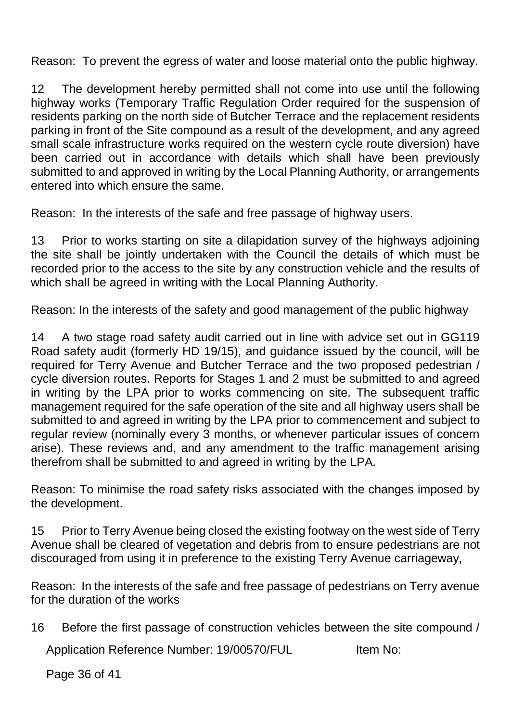Reason: To prevent the egress of water and loose material onto the public highway.

12 The development hereby permitted shall not come into use until the following highway works (Temporary Traffic Regulation Order required for the suspension of residents parking on the north side of Butcher Terrace and the replacement residents parking in front of the Site compound as a result of the development, and any agreed small scale infrastructure works required on the western cycle route diversion) have been carried out in accordance with details which shall have been previously submitted to and approved in writing by the Local Planning Authority, or arrangements entered into which ensure the same.

Reason: In the interests of the safe and free passage of highway users.

13 Prior to works starting on site a dilapidation survey of the highways adjoining the site shall be jointly undertaken with the Council the details of which must be recorded prior to the access to the site by any construction vehicle and the results of which shall be agreed in writing with the Local Planning Authority.

Reason: In the interests of the safety and good management of the public highway

14 A two stage road safety audit carried out in line with advice set out in GG119 Road safety audit (formerly HD 19/15), and guidance issued by the council, will be required for Terry Avenue and Butcher Terrace and the two proposed pedestrian / cycle diversion routes. Reports for Stages 1 and 2 must be submitted to and agreed in writing by the LPA prior to works commencing on site. The subsequent traffic management required for the safe operation of the site and all highway users shall be submitted to and agreed in writing by the LPA prior to commencement and subject to regular review (nominally every 3 months, or whenever particular issues of concern arise). These reviews and, and any amendment to the traffic management arising therefrom shall be submitted to and agreed in writing by the LPA.

Reason: To minimise the road safety risks associated with the changes imposed by the development.

15 Prior to Terry Avenue being closed the existing footway on the west side of Terry Avenue shall be cleared of vegetation and debris from to ensure pedestrians are not discouraged from using it in preference to the existing Terry Avenue carriageway,

Reason: In the interests of the safe and free passage of pedestrians on Terry avenue for the duration of the works

16 Before the first passage of construction vehicles between the site compound /

Application Reference Number: 19/00570/FUL Item No:

Page 36 of 41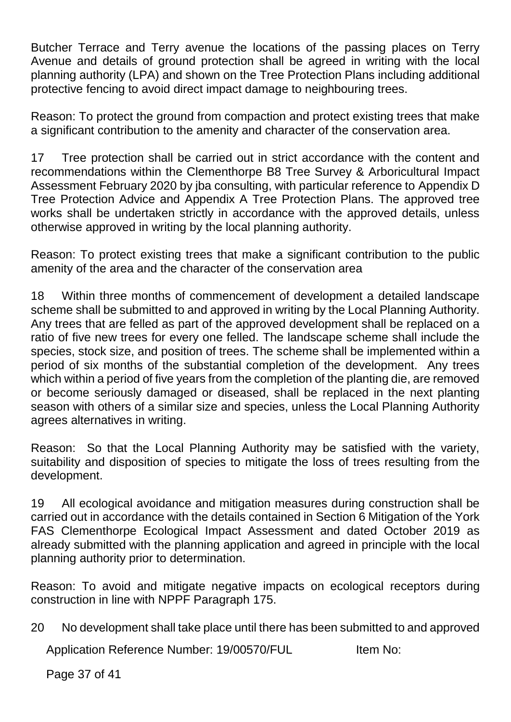Butcher Terrace and Terry avenue the locations of the passing places on Terry Avenue and details of ground protection shall be agreed in writing with the local planning authority (LPA) and shown on the Tree Protection Plans including additional protective fencing to avoid direct impact damage to neighbouring trees.

Reason: To protect the ground from compaction and protect existing trees that make a significant contribution to the amenity and character of the conservation area.

17 Tree protection shall be carried out in strict accordance with the content and recommendations within the Clementhorpe B8 Tree Survey & Arboricultural Impact Assessment February 2020 by jba consulting, with particular reference to Appendix D Tree Protection Advice and Appendix A Tree Protection Plans. The approved tree works shall be undertaken strictly in accordance with the approved details, unless otherwise approved in writing by the local planning authority.

Reason: To protect existing trees that make a significant contribution to the public amenity of the area and the character of the conservation area

18 Within three months of commencement of development a detailed landscape scheme shall be submitted to and approved in writing by the Local Planning Authority. Any trees that are felled as part of the approved development shall be replaced on a ratio of five new trees for every one felled. The landscape scheme shall include the species, stock size, and position of trees. The scheme shall be implemented within a period of six months of the substantial completion of the development. Any trees which within a period of five years from the completion of the planting die, are removed or become seriously damaged or diseased, shall be replaced in the next planting season with others of a similar size and species, unless the Local Planning Authority agrees alternatives in writing.

Reason: So that the Local Planning Authority may be satisfied with the variety, suitability and disposition of species to mitigate the loss of trees resulting from the development.

19 All ecological avoidance and mitigation measures during construction shall be carried out in accordance with the details contained in Section 6 Mitigation of the York FAS Clementhorpe Ecological Impact Assessment and dated October 2019 as already submitted with the planning application and agreed in principle with the local planning authority prior to determination.

Reason: To avoid and mitigate negative impacts on ecological receptors during construction in line with NPPF Paragraph 175.

20 No development shall take place until there has been submitted to and approved

Application Reference Number: 19/00570/FUL Item No:

Page 37 of 41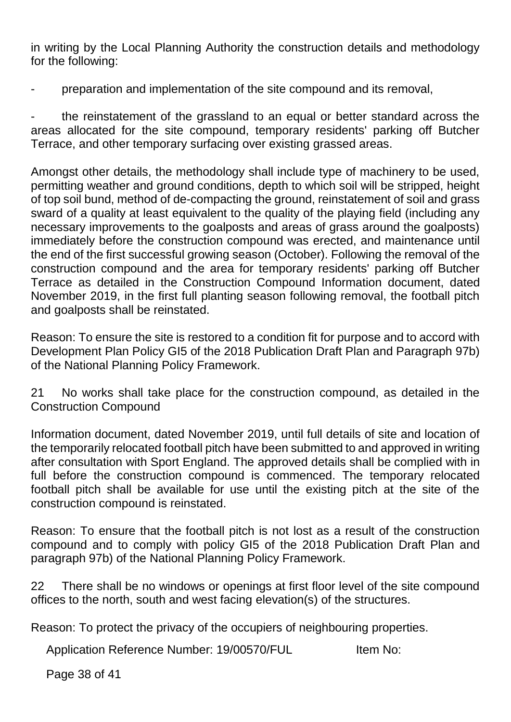in writing by the Local Planning Authority the construction details and methodology for the following:

- preparation and implementation of the site compound and its removal,

- the reinstatement of the grassland to an equal or better standard across the areas allocated for the site compound, temporary residents' parking off Butcher Terrace, and other temporary surfacing over existing grassed areas.

Amongst other details, the methodology shall include type of machinery to be used, permitting weather and ground conditions, depth to which soil will be stripped, height of top soil bund, method of de-compacting the ground, reinstatement of soil and grass sward of a quality at least equivalent to the quality of the playing field (including any necessary improvements to the goalposts and areas of grass around the goalposts) immediately before the construction compound was erected, and maintenance until the end of the first successful growing season (October). Following the removal of the construction compound and the area for temporary residents' parking off Butcher Terrace as detailed in the Construction Compound Information document, dated November 2019, in the first full planting season following removal, the football pitch and goalposts shall be reinstated.

Reason: To ensure the site is restored to a condition fit for purpose and to accord with Development Plan Policy GI5 of the 2018 Publication Draft Plan and Paragraph 97b) of the National Planning Policy Framework.

21 No works shall take place for the construction compound, as detailed in the Construction Compound

Information document, dated November 2019, until full details of site and location of the temporarily relocated football pitch have been submitted to and approved in writing after consultation with Sport England. The approved details shall be complied with in full before the construction compound is commenced. The temporary relocated football pitch shall be available for use until the existing pitch at the site of the construction compound is reinstated.

Reason: To ensure that the football pitch is not lost as a result of the construction compound and to comply with policy GI5 of the 2018 Publication Draft Plan and paragraph 97b) of the National Planning Policy Framework.

22 There shall be no windows or openings at first floor level of the site compound offices to the north, south and west facing elevation(s) of the structures.

Reason: To protect the privacy of the occupiers of neighbouring properties.

Application Reference Number: 19/00570/FUL Item No:

Page 38 of 41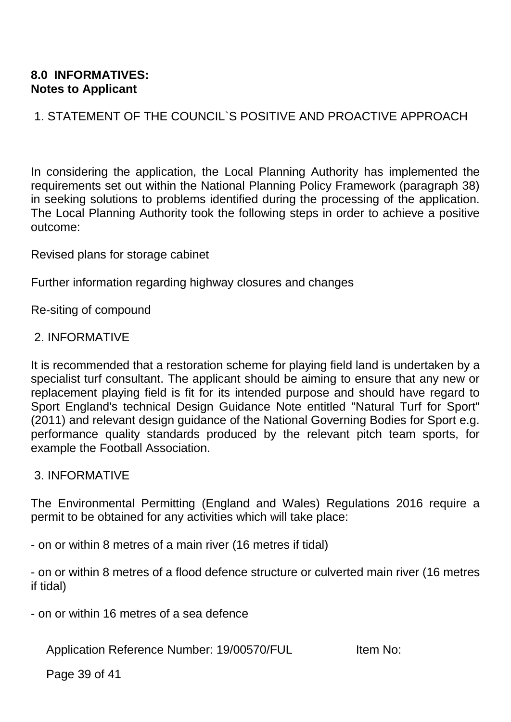#### **8.0 INFORMATIVES: Notes to Applicant**

1. STATEMENT OF THE COUNCIL`S POSITIVE AND PROACTIVE APPROACH

In considering the application, the Local Planning Authority has implemented the requirements set out within the National Planning Policy Framework (paragraph 38) in seeking solutions to problems identified during the processing of the application. The Local Planning Authority took the following steps in order to achieve a positive outcome:

Revised plans for storage cabinet

Further information regarding highway closures and changes

Re-siting of compound

#### 2. INFORMATIVE

It is recommended that a restoration scheme for playing field land is undertaken by a specialist turf consultant. The applicant should be aiming to ensure that any new or replacement playing field is fit for its intended purpose and should have regard to Sport England's technical Design Guidance Note entitled "Natural Turf for Sport" (2011) and relevant design guidance of the National Governing Bodies for Sport e.g. performance quality standards produced by the relevant pitch team sports, for example the Football Association.

#### 3. INFORMATIVE

The Environmental Permitting (England and Wales) Regulations 2016 require a permit to be obtained for any activities which will take place:

- on or within 8 metres of a main river (16 metres if tidal)

- on or within 8 metres of a flood defence structure or culverted main river (16 metres if tidal)

- on or within 16 metres of a sea defence

Application Reference Number: 19/00570/FUL Item No:

Page 39 of 41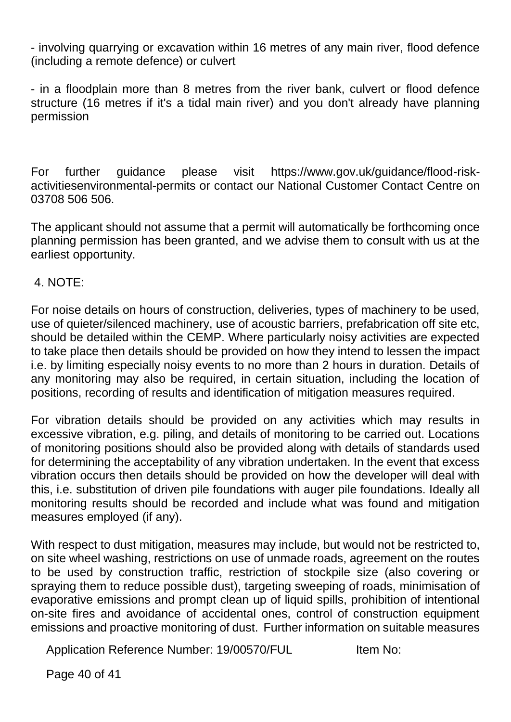- involving quarrying or excavation within 16 metres of any main river, flood defence (including a remote defence) or culvert

- in a floodplain more than 8 metres from the river bank, culvert or flood defence structure (16 metres if it's a tidal main river) and you don't already have planning permission

For further guidance please visit https://www.gov.uk/guidance/flood-riskactivitiesenvironmental-permits or contact our National Customer Contact Centre on 03708 506 506.

The applicant should not assume that a permit will automatically be forthcoming once planning permission has been granted, and we advise them to consult with us at the earliest opportunity.

#### 4. NOTE:

For noise details on hours of construction, deliveries, types of machinery to be used, use of quieter/silenced machinery, use of acoustic barriers, prefabrication off site etc, should be detailed within the CEMP. Where particularly noisy activities are expected to take place then details should be provided on how they intend to lessen the impact i.e. by limiting especially noisy events to no more than 2 hours in duration. Details of any monitoring may also be required, in certain situation, including the location of positions, recording of results and identification of mitigation measures required.

For vibration details should be provided on any activities which may results in excessive vibration, e.g. piling, and details of monitoring to be carried out. Locations of monitoring positions should also be provided along with details of standards used for determining the acceptability of any vibration undertaken. In the event that excess vibration occurs then details should be provided on how the developer will deal with this, i.e. substitution of driven pile foundations with auger pile foundations. Ideally all monitoring results should be recorded and include what was found and mitigation measures employed (if any).

With respect to dust mitigation, measures may include, but would not be restricted to, on site wheel washing, restrictions on use of unmade roads, agreement on the routes to be used by construction traffic, restriction of stockpile size (also covering or spraying them to reduce possible dust), targeting sweeping of roads, minimisation of evaporative emissions and prompt clean up of liquid spills, prohibition of intentional on-site fires and avoidance of accidental ones, control of construction equipment emissions and proactive monitoring of dust. Further information on suitable measures

Application Reference Number: 19/00570/FUL Item No:

Page 40 of 41